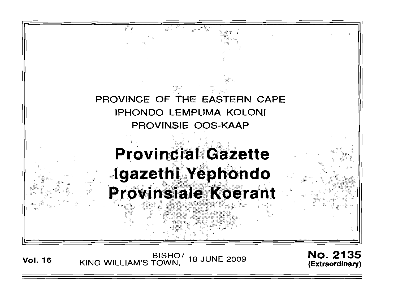

Vol. 16 BISHO/ KING WILLIAM'S TOWN, 18 JUNE 2009 No. 2135 (Extraordinary)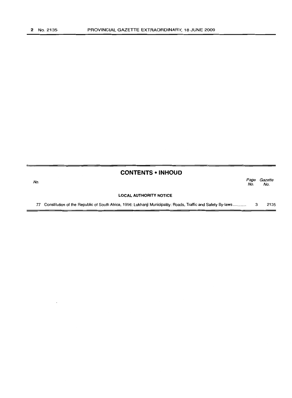|     | <b>CONTENTS • INHOUD</b>                                                                                     |             |                |
|-----|--------------------------------------------------------------------------------------------------------------|-------------|----------------|
| No. |                                                                                                              | Page<br>No. | Gazette<br>No. |
|     | <b>LOCAL AUTHORITY NOTICE</b>                                                                                |             |                |
| 77  | Constitution of the Republic of South Africa, 1996: Lukhanji Municipality: Roads, Traffic and Safety By-laws |             | 2135           |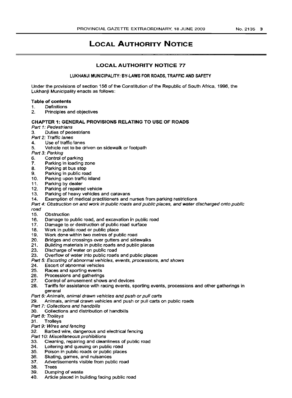# **LOCAL AUTHORITY NOTICE**

# **LOCAL AUTHORITY NOTICE 77**

LUKHANJI MUNICIPALITY: BY·LAWS FOR ROADS, TRAFFIC AND SAFETY

Under the provisions of section 156 of the Constitution of the Republic of South Africa, 1996, the Lukhanji Municipality enacts as follows:

# Table of contents

- 1. Definitions
- 2. Principles and objectives

### CHAPTER 1: GENERAL PROVISIONS RELATING TO USE OF ROADS

- Part 1: Pedestrians
- 3. Duties of pedestrians
- Part 2: Traffic lanes
- 4. Use of traffic lanes
- 5. Vehicle not to be driven on sidewalk or footpath

Part 3: Parking

- 6. Control of parking<br>7. Parking in loading
- 7. Parking in loading zone<br>8. Parking at bus stop
- Parking at bus stop
- 9. Parking in public road<br>10. Parking upon traffic is
- Parking upon traffic island
- 11. Parking by dealer<br>12. Parking of repaire
- Parking of repaired vehicle
- 13. Parking of heavy vehicles and caravans
- 14. Exemption of medical practitioners and nurses from parking restrictions
- Part 4: Obstruction on and work in public roads and public places, and water discharged onto public

road

- 15. Obstruction
- 16. Damage to public road, and excavation in public road<br>17. Damage to or destruction of public road surface
- Damage to or destruction of public road surface
- 18. Work in public road or public place
- 19. Work done within two metres of public road
- 20. Bridges and crossings over gutters and sidewalks
- 21. Building materials in public roads and public places<br>23. Discharge of water on public road
- Discharge of water on public road
- 23. Overflow of water into public roads and public places
- Part 5: Escorting of abnormal vehicles, events, processions, and shows
- 24. Escort of abnormal vehicles
- 25. Races and sporting events
- 26. Processions and gatherings
- 27. Control of amusement shows and devices
- 28. Tariffs for assistance with racing events, sporting events, processions and other gatherings in general
- Part 6: Animals, animal drawn vehicles and push or pull carts
- 29. Animals, animal drawn vehicles and push or pull carts on public roads
- Part 7: Collections and handbills<br>30. Collections and distribution
- 30. Collections and distribution of handbills
- Part 8: Trolleys
- 31. Trolleys

### Part 9: Wires and fencing

- 32. Barbed wire, dangerous and electrical fencing
- Part 10: Miscellaneous prohibitions
- 33. Cleaning, repairing and cleanliness of public road
- 34. Loitering and queuing on public road
- 35. Poison in public roads or public places
- 36. Skating, games, and nuisances
- 37. Advertisements visible from public road
- 38. Trees
- 39. Dumping of waste
- 40. Article placed in building facing public road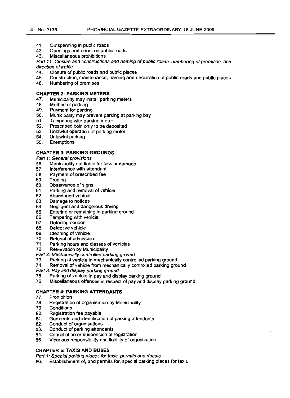- 41. Outspanning in public roads
- 42. Openings and doors on public roads
- 43. Miscellaneous prohibitions

Part 11: Closure and constructions and naming of public roads, numbering of premises, and direction of traffic

- 44. Closure of public roads and public places
- 45. Construction, maintenance, naming and declaration of public roads and public places
- 46. Numbering of premises

### **CHAPTER 2: PARKING METERS**

- 47. Municipality may install parking meters
- 48. Method of parking
- 49. Payment for parking
- 50. Municipality may prevent parking at parking bay
- 51. Tampering with parking meter
- 52. Prescribed coin only to be deposited
- 53. Unlawful operation of parking meter
- 54. Unlawful parking
- 55. Exemptions

## **CHAPTER 3: PARKING GROUNDS**

Part 1: General provisions

- 56. Municipality not liable for loss or damage
- 57. Interference with attendant
- 58. Payment of prescribed fee
- 59. Trading
- 60. Observance of signs
- 61. Parking and removal of vehicle
- 62. Abandoned vehicle
- 63. Damage to notices
- 64. Negligent and dangerous driving
- 65. Entering or remaining in parking ground
- 66. Tampering with vehicle<br>67. Defacing coupon
- Defacing coupon
- 68. Defective vehicle
- 
- 69. Cleaning of vehicle<br>70. Refusal of admissic
- 70. Refusal of admission<br>71. Parking hours and cla 71. Parking hours and classes of vehicles<br>72. Reservation by Municipality
- **Reservation by Municipality**
- Part 2: Mechanically controlled parking ground
- 73. Parking of vehicle in mechanically controlled parking ground
- 74. Removal of vehicle from mechanically controlled parking ground
- Part 3: Pay and display parking ground
- 75. Parking of vehicle in pay and display parking ground
- 76. Miscellaneous offences in respect of pay and display parking ground

### **CHAPTER 4: PARKING ATTENDANTS**

- 77. Prohibition
- 78. Registration of organisation by Municipality
- 
- 79. Conditions
- 80. Registration fee payable<br>81. Garments and identificati Garments and identification of parking attendants
- 
- 82. Conduct of organisations<br>83. Conduct of parking attend
- 83. Conduct of parking attendants<br>84. Cancellation or suspension of
- 84. Cancellation or suspension of registration<br>85. Vicarious responsibility and liability of orga Vicarious responsibility and liability of organization

### **CHAPTER 5: TAXIS AND BUSES**

Part 1: Special parking places for taxis, permits and decals

86. Establishment of, and permits for, special parking places for taxis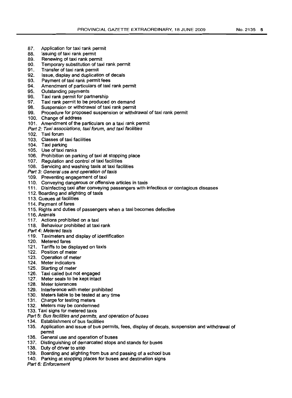- 87. Application for taxi rank permit 88. Issuing of taxi rank permit
- 88. Issuing of taxi rank permit<br>89. Renewing of taxi rank per
- 89. Renewing of taxi rank permit<br>90. Temporary substitution of tax
- 90. Temporary substitution of taxi rank permit<br>91. Transfer of taxi rank permit
- Transfer of taxi rank permit
- 92. Issue, display and duplication of decals<br>93. Payment of taxi rank permit fees
- 93. Payment of taxi rank permit fees<br>94. Amendment of particulars of taxi
- Amendment of particulars of taxi rank permit
- 95. Outstanding payments<br>96. Taxi rank permit for pa
- 96. Taxi rank permit for partnership<br>97. Taxi rank permit to be produced
- Taxi rank permit to be produced on demand
- 98. Suspension or withdrawal of taxi rank permit<br>99. Procedure for proposed suspension or withd
- Procedure for proposed suspension or withdrawal of taxi rank permit
- 100. Change of address
- 101. Amendment of the particulars on a taxi rank permit
- Part 2: Taxi associations, taxi forum, and taxi facilities
- 102. Taxi forum
- 103. Classes of taxi facilities
- 104. Taxi parking
- 105. Use of taxi ranks
- 106. Prohibition on parking of taxi at stopping place
- 107. Regulation and control of taxi facilities
- 108. Servicing and washing taxis at taxi facilities
- Part 3: General use and operation of taxis
- 109. Preventing engagement of taxi
- 110. Conveying dangerous or offensive articles in taxis
- 111. Disinfecting taxi after conveying passengers with infectious or contagious diseases
- 112. Boarding and alighting of taxis
- 113. Queues at facilities
- 114. Payment of fares
- 115. Rights and duties of passengers when a taxi becomes defective
- 116. Animals
- 117. Actions prohibited on a taxi
- 118. Behaviour prohibited at taxi rank
- Part 4: Metered taxis
- 119. Taximeters and display of identification
- 120. Metered fares
- 121. Tariffs to be displayed on taxis
- 122. Position of meter
- 123. Operation of meter
- 124. Meter indicators
- 125. Starting of meter
- 126. Taxi called but not engaged
- 127. Meter seals to be kept intact
- 128. Meter tolerances
- 129. Interference with meter prohibited
- 130. Meters liable to be tested at any time
- 131. Charge for testing meters
- 132. Meters may be condemned
- 133. Taxi signs for metered taxis
- Part 5: Bus facilities and permits, and operation of buses
- 134. Establishment of bus facilities
- 135. Application and issue of bus permits, fees. display of decals. suspension and withdrawal of permit
- 136. General use and operation of buses
- 137. Distinguishing of demarcated stops and stands for buses
- 138. Duty of driver to stop
- 139. Boarding and alighting from bus and passing of a school bus
- 140. Parking at stopping places for buses and destination signs
- Part 6: Enforcement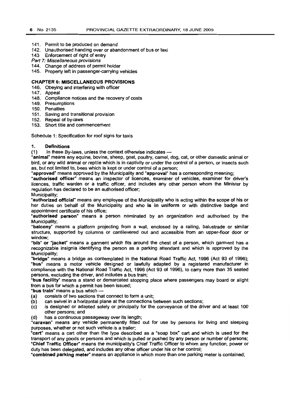- 141. Permit to be produced on demand
- 142. Unauthorised handing over or abandonment of bus or taxi
- 143 Enforcement of right of entry
- Part 7: Miscellaneous provisions
- 144. Change of address of permit holder
- 145. Property left in passenger-carrying vehicles

# CHAPTER 6: MISCELLANEOUS PROVISIONS

- 146. Obeying and interfering with officer
- 147. Appeal
- 148. Compliance notices and the recovery of costs
- 149. Presumptions
- 150. Penalties
- 151. Saving and transitional provision
- 152. Repeal of by-laws
- 153. Short title and commencement

Schedule 1: Specification for roof signs for taxis

### 1. Definitions

(1) In these By-laws, unless the context otherwise indicates --

"animal" means any equine, bovine, sheep, goat, poultry, camel, dog, cat, or other domestic animal or bird, or any wild animal or reptile which is in captivity or under the control of a person, or insects such as, but not limited to, bees which is kept or under control of a person;

"approved" means approved by the Municipality and "approval" has a corresponding meaning;

"authorised officer" means an inspector of licences, examiner of vehicles, examiner for driver's licences, traffic warden or a traffic officer, and includes any other person whom the Minister by regulation has declared to be an authorised officer;

Municipality;

"authorized official" means any employee of the Municipality who is acting within the scope of his or her duties on behalf of the Municipality and who is in uniform or with distinctive badge and appointment certificate of his office;

"authorised person" means a person nominated by an organization and authorised by the Municipality;

"balcony" means a platform projecting from a wall, enclosed by a railing, balustrade or similar structure, supported by columns or cantilevered out and accessible from an upper-floor door or window;

"bib" or "jacket" means a garment which fits around the chest of a person, which garment has a recognizable insignia identifying the person as a parking attendant and which is approved by the Municipality;

"bridge" means a bridge as contemplated in the National Road Traffic Act, 1996 (Act 93 of 1996); "bus" means a motor vehicle designed or lawfully adapted by a registered manufacturer in compliance with the National Road Traffic Act, 1996 (Act 93 of 1996), to carry more than 35 seated persons, excluding the driver, and includes a bus train;

"bus facility" means a stand or demarcated stopping place where passengers may board or alight from a bus for which a permit has been issued;

"bus train" means a bus which -

- (a) consists of two sections that connect to form a unit;
- (b) can swivel in a horizontal plane at the connections between such sections;
- (c) is designed or adapted solely or principally for the conveyance of the driver and at least 100 other persons; and '
- (d) has a continuous passageway over its length;

"caravan" means any vehicle permanently fitted out for use by persons for living and sleeping purposes, whether or not such vehicle is a trailer;

"cart" means a cart other than the type described as a "soap box" cart and which is used for the transport of any goods or persons and which is pulled or pushed by any person or number of persons; "Chief Traffic Officer" means the municipality's Chief Traffic Officer to whom any function, power or duty has been delegated, and includes any other officer under his or her control;

·combined parking meter" means an appliance in which more than one parking meter is contained;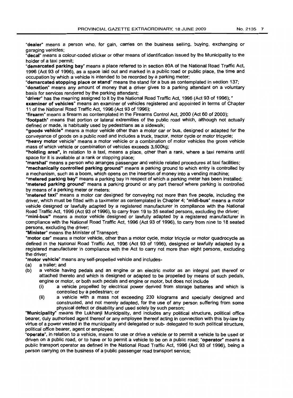"dealer" means a person who, for gain, carries on the business selling, buying, exchanging or garaging vehicles;

"decal" means a colour-coded sticker or other means of identification issued by the Municipality to the holder of a taxi permit;

"demarcated parking bay" means a place referred to in section 80A of the National Road Traffic Act, 1996 (Act 93 of 1996), as a space laid out and marked in a public road or public place, the time and occupation by which a vehicle is intended to be recorded by a parking meter;

"demarcated stopping place or stand" means the stand for a bus as contemplated in section 137; "donation" means any amount of money that a driver gives to a parking attendant on a voluntary basis for services rendered by the parking attendant;

"driver" has the meaning assigned to it by the National Road Traffic Act, 1996 (Act 93 of 1996); "

examiner of vehicles" means an examiner of vehicles registered and appointed in terms of Chapter 11 of the National Road Traffic Act, 1996 (Act 93 of 1996);

"firearm" means a firearm as contemplated in the Firearms Control Act, 2000 (Act 60 of 2000);

"footpath" means that portion or lateral extremities of the public road which, although not actually defined or made, is habitually used by pedestrians as a sidewalk;

"goods vehicle" means a motor vehicle other than a motor car or bus, designed or adapted for the conveyance of goods on a public road and includes a truck. tractor, motor cycle or motor tricycle;

"heavy motor vehicle" means a motor vehicle or a combination of motor vehicles the gross vehicle mass of which vehicle or combination of vehicles exceeds 3,500kg;

"holding area", in relation to a taxi, means a place, other than a rank, where a taxi remains until space for it is available at a rank or stopping place;

"marshal" means a person who arranges passenger and vehicle related procedures at taxi facilities; "mechanically controlled parking ground" means a parking ground to which entry is controlled by a mechanism, such as a boom, which opens on the insertion of money into a vending machine;

"metered parking bay" means a parking bay in respect of which a parking meter has been installed; "metered parking ground" means a parking ground or any part thereof where parking is controlled by means of a perking meter or meters:

"metered taxi" means a motor car designed for conveying not more than five people, including the driver, which must be fitted with a taximeter as contemplated in Chapter 4; "midi-bus" means a motor vehicle designed or lawfully adapted by a registered manufacturer in compliance with the National Road Traffic Act. 1996 (Act 93 of 1996), to carry from 19 to 35 seated persons, excluding the driver;

"mini-bus" means a motor vehicle designed or lawfully adapted by a registered manufacturer in compliance with the National Road Traffic Act, 1996 (Act 93 of 1996). to carry from nine to 18 seated persons, excluding the driver;

"Minister" means the Minister of Transport;

"motor car" means a motor vehicle, other than a motor cycle, motor tricycle or motor quadrocycle as defined in the National Road Traffic Act. 1996 (Act 93 of 1996), designed or lawfully adapted by a registered manufacturer in compliance with the Act to carry not more than eight persons, excluding the driver;

"motor vehicle" means any self-propelled vehicle and includes-

- (a) a trailer; and
- (b) a vehicle having pedals and an engine or an electric motor as an integral part thereof or attached thereto and which is designed or adapted to be propelled by means of such pedals, engine or motor, or both such pedals and engine or motor, but does not include
	- (i) a vehicle propelled by electrical power derived from storage batteries and which is controlled by a pedestrian; or
	- (ii) a vehicle with a mass not exceeding 230 kilograms and specially designed and constructed, and not merely adapted, for the use of any person suffering from some physical defect or disability and used solely by such person;

"Municipality" means the Lukhanji Municipality, and includes any political structure, political office bearer, duly authorised agent thereof or any employee thereof acting in connection with this by-law by virtue of a power vested in the municipality and delegated or sub- delegated to such political structure, political office bearer, agent or employee;

"operate". in relation to a vehicle, means to use or drive a vehicle or to permit a vehicle to be used or driven on a public road, or to have or to permit a vehicle to be on a public road; "operator" means a public transport operator as defined in the National Road Traffic Act, 1996 (Act 93 of 1996), being a person carrying on the business of a public passenger road transport service;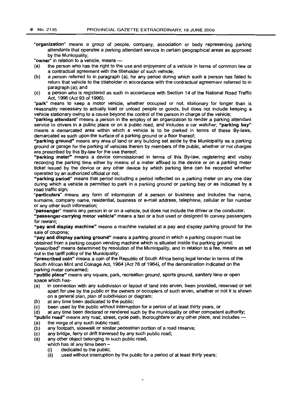"organization" means a group of people, company, association or body representing parking attendants that operates a parking attendant service in certain geographical areas as approved by the Municipality;

"owner" in relation to a vehicle, means -

- (a) the person who has the right to the use and enjoyment of a vehicle in terms of common law or a contractual agreement with the titleholder of such vehicle;
- (b) a person referred to in paragraph (a), for any period during which such a person has failed to return that vehicle to the titleholder in accordance with the contractual agreement referred to in paragraph (a); and
- (c) a person who is registered as such in accordance with Section 14 of the National Road Traffic Act, 1996 (Act 93 of 1996);

"park" means to keep a motor vehicle, whether occupied or not, stationary for longer than is reasonably necessary to actually load or unload people or goods, but does not include keeping a vehicle stationary owing to a cause beyond the control of the person in charge of the vehicle;

"parking attendant" means a person in the employ of an organization to render a parking attendant service to drivers in a public place or on a public road, and includes a car watcher; "parking bay" means a demarcated area within which a vehicle is to be parked in terms of these By-laws, demarcated as such upon the surface of a parking ground or a floor thereof;

"parking ground" means any area of land or any building set aside by the Municipality as a parking ground or garage for the parking of vehicles therein by members of the public, whether or not charges are prescribed by this By-law for the use thereof;

"parking meter" means a device commissioned in terms of this By-law, registering and visibly recording the parking time either by means of a meter affixed to the device or on a parking meter ticket issued by the device or any other device by which parking time can be recorded whether operated by an authorized official or not;

"parking period" means that period including a period reflected on a parking meter on anyone day during which a vehicle is permitted to park in a parking ground or parking bay or as indicated by a road traffic sign;

"particulars" means any form of information of a person or business and includes the name, surname, company name, residential, business or e-mail address, telephone, cellular or fax number or any other such information;

·passenger" means any person in or on a vehicle, but does not include the driver or the conductor;

"passenger-carrying motor vehicle" means a taxi or a bus used or designed to convey passengers for reward;

"pay and display machine" means a machine installed at a pay and display parking ground for the sale of coupons;

"pay and display parking ground" means a parking ground in which a parking coupon must be obtained from a parking coupon vending machine which is situated inside the parking ground;

"prescribed" means determined by resolution of the Municipality, and in relation to a fee, means as set out in the tariff policy of the Municipality;

"prescribed coin" means a coin of the Republic of South Africa being legal tender in terms of the South African Mint and Coinage Act, 1964 (Act 78 of 1964), of the denomination indicated on the parking meter concerned;

"public place" means any square, park, recreation ground, sports ground, sanitary lane or open space which has-

- (a) in connection with any subdivision or layout of land into erven, been provided, reserved or set apart for use by the public or the owners or occupiers of such erven, whether or not it is shown on a general plan, plan of subdivision or diagram;
- (b) at any time been dedicated to the public;

(c) been used by the public without interruption for a period of at least thirty years, or (d) at any time been declared or rendered such by the municipality or other competer

at any time been declared or rendered such by the municipality or other competent authority;

"public road" means any road, street, cycle path, thoroughfare or any other place. and includes - (a) the verge of any such public road;<br>(b) any footpath, sidewalk or similar po

- any footpath, sidewalk or similar pedestrian portion of a road reserve;
- (c) any bridge, ferry or drift traversed by any such public road;
- any other object belonging to such public road,
	- which has at any time been  $-$ 
		- (i) dedicated to the public;
		- used without interruption by the public for a period of at least thirty years;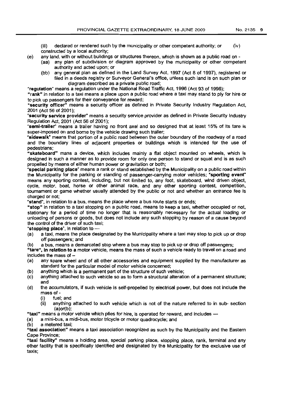(iii) declared or rendered such by the municipality or other competent authority; or  $(iv)$ constructed by a local authority;

- (e) any land, with or without buildings or structures thereon, which is shown as a public road on
	- (aa) any plan of subdivision or diagram approved by the municipality or other competent authority and acted upon; or
		- (bb) any general plan as defined in the Land Survey Act, 1997 (Act 8 of 1997), registered or filed in a deeds registry or Surveyor General's office, unless such land is on such plan or diagram described as a private public road;

"regulation" means a regulation under the National Road Traffic Act, 1996 (Act 93 of 1996);

"rank" in relation to a taxi means a place upon a public road where a taxi may stand to ply for hire or to pick up passengers for their conveyance for reward;

"security officer" means a security officer as defined in Private Security Industry Regulation Act, 2001 (Act 56 of 2001 );

"security service provider" means a security service provider as defined in Private Security Industry RegUlation Act, 2001 (Act 56 of 2001);

"semi-trailer" means a trailer having no front axel and so designed that at least 15% of its tare is super-imposed on and borne by the vehicle drawing such trailer;

"sidewalk" means that portion of a public road between the outer boundary of the roadway of a road and the boundary lines of adjacent properties or buildings which is intended for the use of pedestrians;

"skateboard" mans a device, which includes mainly a flat object mounted on wheels, which is designed in such a manner as to provide room for only one person to stand or squat and is as such propelled by means of either human power or gravitation or both;

"special parking place" means a rank or stand established by the Municipality on a public road within the Municipality for the parking or standing of passenger-carrying motor vehicles; "sporting event" means any sporting contest, including, but not limited to, any foot, skateboard, wind driven object, cycle, motor, boat, horse or other animal race, and any other sporting contest, competition, tournament or game whether usually attended by the public or not and whether an entrance fee is charged or not;

"stand", in relation to a bus, means the place where a bus route starts or ends;

"stop" in relation to a taxi stopping on a public road, means to keep a taxi, whether occupied or not, stationary for a period of time no longer that is reasonably necessary for the actual loading or unloading of persons or goods, but does not include any such stopping by reason of a cause beyond the control of the driver of such taxi;

"stopping place", in relation to -<br>(a) a taxi, means the place de

- a taxi, means the place designated by the Municipality where a taxi may stop to pick up or drop off passengers; and
- (b) a bus, means a demarcated stop where a bus may stop to pick up or drop off passengers;

"tare", in relation to a motor vehicle, means the mass of such a vehicle ready to travel on a road and includes the mass of  $-$ 

- (a) any spare wheel and of all other accessories and equipment supplied by the manufacturer as standard for the particular model of motor vehicle concerned;
- (b) anything which is a permanent part of the structure of such vehicle;
- (c) anything attached to such vehicle so as to form a structural alteration of a permanent structure; and
- (d) the accumulators, if such vehicle is self-propelled by electrical power, but does not include the mass of-
	- (i) fuel; and
	- (ii) anything attached to such vehicle which is not of the nature referred to in sub- section (a)or(b);
- "taxi" means a motor vehicle which plies for hire, is operated for reward, and includes -

(a) a mini-bus, a midi-bus, motor tricycle or motor quadrocycle; and

(b) a metered taxi;

"taxi association" means a taxi association recognized as such by the Municipality and the Eastern Cape Province;

"taxi facility" means a holding area, special parking place, stopping place, rank, terminal and any other facility that is specifically identified and designated by the Municipality for the exclusive use of taxis;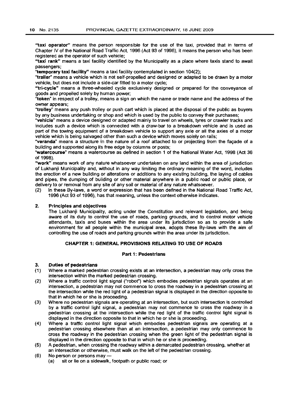"taxi operator" means the person responsible for the use of the taxi, provided that in terms of Chapter IV of the National Road Traffic Act, 1996 (Act 93 of 1996), it means the person who has been registered as the operator of such vehicle;

"taxi rank" means a taxi facility identified by the Municipality as a place where taxis stand to await passengers;

"temporary taxi facility" means a taxi facility contemplated in section 104(2);

"trailer" means a vehicle which is not self-propelled and designed or adapted to be drawn by a motor vehicle, but does not include a side-car fitted to a motor cycle;

"tri-cycle" means a three-wheeled cycle exclusively designed or prepared for the conveyance of goods and propelled solely by human power;

"token" in respect of a trolley, means a sign on which the name or trade name and the address of the owner appears;

"trolley" means any push trolley or push cart which is placed at the disposal of the public as buyers by any business undertaking or shop and which is used by the public to convey their purchases;

"vehicle" means a device designed or adapted mainly to travel on wheels, tyres or crawler tracks and includes such a device which is connected with a draw-bar to a breakdown vehicle and is used as part of the towing equipment of a breakdown vehicle to support any axle or all the axles of a motor vehicle which is being salvaged other than such a device which moves solely on rails;

"veranda" means a structure in the nature of a roof attached to or projecting from the facade of a building and supported along its free edge by columns or posts;

"watercourse" means a watercourse as defined in section 1 of the National Water Act, 1998 (Act 36 of 1998).

"work" means work of any nature whatsoever undertaken on any land within the area of jurisdiction of Lukhanii Municipality and, without in any way limiting the ordinary meaning of the word, includes the erection of a new building or alterations or additions to any existing building, the laying of cables and pipes, the dumping of building or other material anywhere in a public road or public place, or delivery to or removal from any site of any soil or material of any nature whatsoever.

(2) In these By-laws, a word or expression that has been defined in the National Road Traffic Act, 1996 (Act 93 of 1996), has that meaning, unless the context otherwise indicates.

# 2. Principles and objectives

The Lukhanji Municipality, acting under the Constitution and relevant legislation, and being aware of its duty to control the use of roads, parking grounds, and to control motor vehicle attendants, taxis and buses within the area under its jurisdiction so as to provide a safe environment for all people within the municipal area, adopts these By-laws with the aim of controlling the use of roads and parking grounds within the area under its jurisdiction.

# CHAPTER 1: GENERAL PROVISIONS RELATING TO USE OF ROADS

### Part 1: Pedestrians

### 3. Duties of pedestrians

- (1) Where a marked pedestrian crossing exists at an intersection, a pedestrian may only cross the intersection within the marked pedestrian crossing.
- (2) Where a traffic control light signal ("robot") which embodies pedestrian signals operates at an intersection, a pedestrian may not commence to cross the roadway in a pedestrian crossing at the intersection while the red light of a pedestrian signal is displayed in the direction opposite to that in which he or she is proceeding.
- (3) Where no pedestrian signals are operating at an intersection, but such intersection is controlled by a traffic control light signal, a pedestrian may not commence to cross the roadway in a pedestrian crossing at the intersection while the red light of the traffic control light signal is displayed in the direction opposite to that in which he or she is proceeding.
- (4) Where a traffic control light signal which embodies pedestrian signals are operating at a pedestrian crossing elsewhere than at an intersection, a pedestrian may only commence to cross the roadway in the pedestrian crossing when the green light of the pedestrian signal is displayed in the direction opposite to that in which he or she is proceeding.
- (5) A pedestrian, when crossing the roadway within a demarcated pedestrian crossing, whether at an intersection or otherwise, must walk on the left of the pedestrian crossing.
- (6) No person or persons may-
	- (a) sit or lie on a sidewalk, footpath or public road; or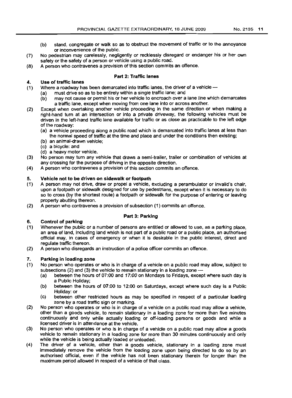- (b) stand, congregate or walk so as to obstruct the movement of traffic or to the annoyance or inconvenience of the public.
- (7) No pedestrian may carelessly, negligently or recklessly disregard or endanger his or her own safety or the safety of a person or vehicle using a public road.
- (8) A person who contravenes a provision of this section commits an offence.

# 4. **Use of traffic lanes**

# **Part 2: Traffic lanes**

- (1) Where a roadway has been demarcated into traffic lanes, the driver of a vehicle -
	- (a) must drive so as to be entirely within a single traffic lane; and
	- (b) may not cause or permit his or her vehicle to encroach over a lane line which demarcates a traffic lane, except when moving from one lane into or across another.
- (2) Except when overtaking another vehicle proceeding in the same direction or when making a right-hand turn at an intersection or into a private driveway, the following vehicles must be driven in the left-hand traffic lane available for traffic or as close as practicable to the left edge of the roadway:
	- (a) a vehicle proceeding along a public road which is demarcated into traffic lanes at less than the normal speed of traffic at the time and place and under the conditions then existing;
	- (b) an animal-drawn vehicle;
	- (c) a bicycle: and
	- (d) a heavy motor vehicle.
- (3) No person may turn any vehicle that draws a semi-trailer, trailer or combination of vehicles at any crossing for the purpose of driving in the opposite direction.
- (4) A person who contravenes a provision of this section commits an offence.

# 5. **Vehicle not to be driven on sidewalk or footpath**

- (1) A person may not drive. draw or propel a vehicle. excluding a perambulator or invalid's chair, upon a footpath or sidewalk designed for use by pedestrians, except when it is necessary to do so to cross (by the shortest route) a footpath or sidewalk for the purpose of entering or leaving property abutting thereon.
- (2) A person who contravenes a provision of subsection (1) commits an offence.

# **Part 3: Parking**

- (1) Whenever the public or a number of persons are entitled or allowed to use, as a parking place, an area of land, including land which is not part of a public road or a public place, an authorised official may, in cases of emergency or when it is desirable in the public interest, direct and regulate traffic thereon.
- (2) A person who disregards an instruction of a police officer commits an offence.

## **7. Parking in loading zone**

6. **Control of parking**

- (1) No person who operates or who is in charge of a vehicle on a public road may allow, subject to subsections (2) and (3) the vehicle to remain stationary in a loading zone -
	- (a) between the hours of 07:00 and 17:00 on Mondays to Fridays, except where such day is a Public Holiday;
	- (b) between the hours of 07:00 to 12:00 on Saturdays. except where such day is a Public Holiday: or
	- (c) between other restricted hours as may be specified in respect of a particular loading zone by a road traffic sign or marking.
- (2) No person who operates or who is in charge of a vehicle on a public road may allow a vehicle, other than a goods vehicle. to remain stationary in a loading zone for more than five minutes continuously and only while actually loading or off-loading persons or goods and while a licensed driver is in attendance at the vehicle.
- (3) No person who operates or who is in charge of a vehicle on a public road may allow a goods vehicle to remain stationary in a loading zone for more than 30 minutes continuously and only while the vehicle is being actually loaded or unloaded.
- (4) The driver of a vehicle, other than a goods vehicle. stationary in a loading zone must immediately remove the vehicle from the loading zone upon being directed to do so by an authorised official, even if the vehicle has not been stationary therein for longer than the maximum period allowed in respect of a vehicle of that class.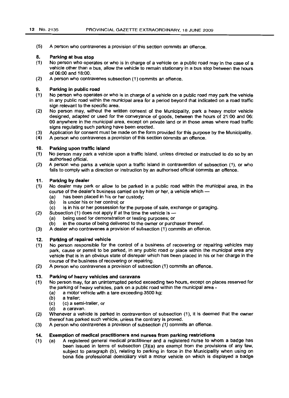(5) A person who contravenes a provision of this section commits an offence.

#### 8. Parking at bus stop

- (1) No person who operates or who is in charge of a vehicle on a public road may in the case of a vehicle other than a bus, allow the vehicle to remain stationary in a bus stop between the hours of 06:00 and 18:00.
- (2) A person who contravenes subsection (1) commits an offence.

#### 9. Parking in public road

- (1) No person who operates or who is in charge of a vehicle on a public road may park the vehicle in any public road within the municipal area for a period beyond that indicated on a road traffic sign relevant to the specific area.
- (2) No person may, without the written consent of the Municipality, park a heavy motor vehicle designed, adapted or used for the conveyance of goods, between the hours of 21:00 and 06: 00 anywhere in the municipal area, except on private land or in those areas where road traffic signs regulating such parking have been erected.
- (3) Application for consent must be made on the form provided for this purpose by the Municipality.
- (4) A person who contravenes a provision of this section commits an offence.

#### 10. Parking upon traffic island

- (1) No person may park a vehicle upon a traffic island. unless directed or instructed to do so by an authorised official.
- (2) A person who parks a vehicle upon a traffic island in contravention of subsection (1), or who fails to comply with a direction or instruction by an authorised official commits an offence.

#### 11. Parking by dealer

- (1) No dealer may park or allow to be parked in a public road within the municipal area, in the course of the dealer's business carried on by him or her, a vehicle which -
	- (a) has been placed in his or her custody;<br>(b) is under his or her control; or
	- is under his or her control; or
- (2) (c) is in his or her possession for the purpose of sale, exchange or garaging.
	- Subsection (1) does not apply if at the time the vehicle is  $-$ 
		- (a) being used for demonstration or testing purposes; or
	- (b) in the course of being delivered to the owner or purchaser thereof.
- (3) A dealer who contravenes a provision of subsection (1) commits an offence.

#### 12. Parking of repaired vehicle

- (1) No person responsible for the control of a business of recovering or repairing vehicles may park. cause or permit to be parked, in any public road or place within the municipal area any vehicle that is in an obvious state of disrepair which has been placed in his or her charge in the course of the business of recovering or repairing.
- (2) A person who contravenes a provision of subsection (1) commits an offence.

#### 13. Parking of heavy vehicles and caravans

- (1) No person may, for an uninterrupted period exceeding two hours, except on places reserved for the parking of heavy vehicles, park on a public road within the municipal area -
	- (a) a motor vehicle with a tare exceeding 3500 kg;
	- (b) a trailer;
	- (c) (c) a semi-trailer, or
	- (d) a caravan.
- (2) Whenever a vehicle is parked in contravention of subsection (1), it is deemed that the owner thereof has parked such vehicle, unless the contrary is proved.
- (3) A person who contravenes a provision of subsection (1) commits an offence.

#### 14. Exemption of medical practitioners and nurses from parking restrictions

(1) (a) A registered general medical practitioner and a registered nurse to whom a badge has been issued in terms of subsection  $(3)(a)$  are exempt from the provisions of any law, subject to paragraph (b), relating to parking in force in the Municipality when using on bona fide professional domiciliary visit a motor vehicle on which is displayed a badge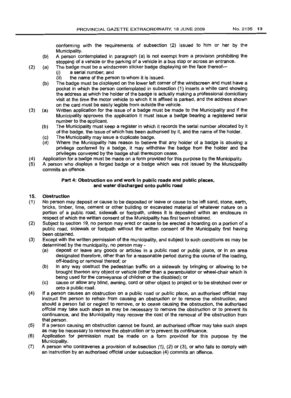conforming with the requirements of subsection (2) issued to him or her by the Municipality.

- (b) A person contemplated in paragraph (a) is not exempt from a provision prohibiting the stopping of a vehicle or the parking of a vehicle in a bus stop or across an entrance.
- (2) (a) The badge must be a windscreen sticker badge displaying on the face thereof-
	- (i) a serial number; and
	- (ii) the name of the person to whom it is issued.
	- (b) The badge must be displayed on the lower left corner of the windscreen and must have a pocket in which the person contemplated in subsection (1) inserts a white card showing the address at which the holder of the badge is actually making a professional domiciliary visit at the time the motor vehicle to which it is affixed is parked, and the address shown on the card must be easily legible from outside the vehicle.
- (3) (a) Written application for the issue of a badge must be made to the Municipality and if the Municipality approves the application it must issue a badge bearing a registered serial number to the applicant.
	- (b) The Municipality must keep a register in which it records the serial number allocated by it of the badge, the issue of which has been authorised by it, and the name of the holder.
	- (c) The Municipality may issue a duplicate badge.<br>(d) Where the Municipality has reason to believe
	- Where the Municipality has reason to believe that any holder of a badge is abusing a privilege conferred by a badge, it may withdraw the badge from the holder and the privileges conveyed by the badge shall thereupon cease.
- (4) Application for a badge must be made on a form provided for this purpose by the Municipality.
- (5) A person who displays a forged badge or a badge which was not issued by the Municipality commits an offence.

## Part 4: Obstruction on and work in public roads and public places, and water discharged onto public road

## 15. Obstruction

- (1) No person may deposit or cause to be deposited or leave or cause to be left sand, stone, earth, bricks, timber, lime, cement or other bUilding or excavated material of whatever nature on a portion of a public road, sidewalk or footpath, unless it is deposited within an enclosure in respect of which the written consent of the Municipality has first been obtained.
- (2) Subject to section 19, no person may erect or cause to be erected a hoarding on a portion of a public road, sidewalk or footpath without the written consent of the Municipality first having been obtained.
- (3) Except with the written permission of the municipality, and subject to such conditions as may be determined by the municipality, no person may -
	- (a) deposit or leave any goods or articles in a public road or public place, or in an area designated therefore, other than for a reasonable period during the course of the loading, off-loading or removal thereof; or
	- (b) in any way obstruct the pedestrian traffic on a sidewalk by bringing or allowing to be brought thereon any object or vehicle (other than a perambulator or wheel-chair which is being used for the conveyance of children or the disabled); or
	- (c) cause or allow any blind, awning, cord or other object to project or to be stretched over or onto a public road.
- (4) If a person causes an obstruction on a public road or public place, an authorised official may instruct the person to refrain from causing an obstruction or to remove the obstruction, and should a person fail or neglect to remove, or to cease causing the obstruction, the authorised official may take such steps as may be necessary to remove the obstruction or to prevent its continuance, and the Municipality may recover the cost of the removal of the obstruction from that person.
- (5) If a person causing an obstruction cannot be found, an authorised officer may take such steps as may be necessary to remove the obstruction or to prevent its continuance.
- (6) Application for permission must be made on a form provided for this purpose by the Municipality.
- (7) A person who contravenes a provision of subsection (1), (2) or (3), or who fails to comply with an instruction by an authorised official under subsection (4) commits an offence.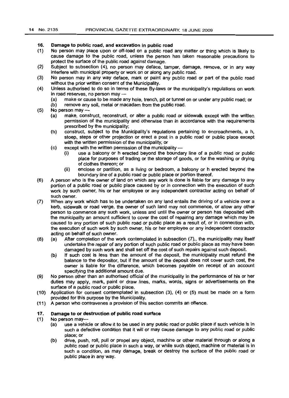# 16. Damage to public road, and excavation in public road

- (1) No person may place upon or off-load on a public road any matter or thing which is likely to cause damage to the public road, unless the person has taken reasonable precautions to protect the surface of the public road against damage.
- (2) Subject to subsection (4), no person may deface, tamper, damage, remove, or in any way interfere with municipal property or work on or along any public road.
- (3) No person may in any way deface, mark or paint any public road or part of the public road without the prior written consent of the Municipality.
- (4) Unless authorised to do so in terms of these By-laws or the municipality's regulations on work in road reserves, no person may -
	- (a) make or cause to be made any hole, trench, pit or tunnel on or under any public road; or
	- (b) remove any soil, metal or macadam from the public road.
- $(5)$  No person may  $-$ 
	- (a) make, construct, reconstruct, or alter a public road or sidewalk except with the written permission of the municipality and otherwise than in accordance with the requirements prescribed by the municipality;
	- (b) construct, subject to the Municipality's regulations pertaining to encroachments, a h, stoep, steps or other projection or erect a post in a public road or public place except with the written permission of the municipality; or
	- (c) except with the written permission of the municipality -
		- (i) use a balcony or h erected beyond the boundary line of a public road or public place for purposes of trading or the storage of goods, or for the washing or drying of clothes thereon; or
		- (ii) enclose or partition, as a living or bedroom, a balcony or h erected beyond the boundary line of a public road or public place or portion thereof.
- (6) A person who is the owner of land on which any work is done is liable for any damage to any portion of a public road or public place caused by or in connection with the execution of such work by such owner, his or her employee or any independent contractor acting on behalf of such owner.
- (7) When any work which has to be undertaken on any land entails the driving of a vehicle over a kerb, sidewalk or road verge, the owner of such land may not commence, or allow any other person to commence any such work, unless and until the owner or person has deposited with the municipality an amount sufficient to cover the cost of repairing any damage which may be caused to any portion of such public road or public place as a result of, or in connection with, the execution of such work by such owner, his or her employee or any independent contractor acting on behalf of such owner.
- (8) (a) After completion of the work contemplated in subsection (7).. the municipality may itself undertake the repair of any portion of such public road or public place as may have been damaged by such work and shall set off the cost of such repairs against such deposit.
	- (b) If such cost is less than the amount of the deposit, the municipality must refund the balance to the depositor, but if the amount of the deposit does not cover such cost, the owner is liable for the difference, which becomes payable on receipt of an account specifying the additional amount due.
- (9) No person other than an authorised official of the municipality in the performance of his or her duties may apply, mark, paint or draw lines, marks, words, signs or advertisements on the surface of a public road or public place.
- (10) Application for consent contemplated in subsection (3), (4) or (5) must be made on a form provided for this purpose by the Municipality.
- (11) A person who contravenes a provision of this section commits an offence.

### 17. Damage to or destruction of public road surface

- (1) No person may-
	- (a) use a vehicle or allow it to be used in any public road or public place if such vehicle is in such a defective condition that it will or may cause damage to any public road or public place; or
	- (b) drive, push, roll, pull or propel any object, machine or other material through or along a public road or public place in such a way, or while such object, machine or material is in such a condition, as may damage, break or destroy the surface of the public road or public place in any way.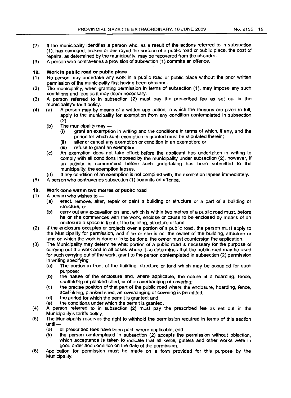- (2) If the municipality identifies a person who, as a result of the actions referred to in subsection (1), has damaged, broken or destroyed the surface of a public road or public place, the cost of repairs, as determined by the municipality, may be recovered from the offender.
- (3) A person who contravenes a provision of subsection (1) commits an offence.

# 18. Work in public road or public place

- (1) No person may undertake any work in a public road or public place without the prior written permission of the municipality first having been obtained.
- (2) The municipality, when granting permission in terms of subsection (1), may impose any such conditions and fees as it may deem necessary.
- (3) A person referred to in subsection (2) must pay the prescribed fee as set out in the municipality's tariff policy.
- (4) (a) A person may by means of a written application, in which the reasons are given in full, apply to the municipality for exemption from any condition contemplated in subsection (2).
	- $(b)$  The municipality may  $-$ 
		- (i) grant an exemption in writing and the conditions in terms of which, if any, and the period for which such exemption is granted must be stipulated therein;
		- (ii) alter or cancel any exemption or condition in an exemption; or
		- (iii) refuse to grant an exemption.
	- (c) An exemption does not take effect before the applicant has undertaken in writing to comply with all conditions imposed by the municipality under subsection (2), however, if an activity is commenced before such undertaking has been submitted to the municipality, the exemption lapses.
- (d) If any condition of an exemption is not complied with, the exemption lapses immediately.
- (5) A person who contravenes subsection (1) commits an offence.

# 19. Work done within two metres of public road

- (1) A person who wishes to
	- (a) erect, remove, alter, repair or paint a building or structure or a part of a building or structure; or
	- (b) carry out any excavation on land, which is within two metres of a public road must, before he or she commences with the work, enclose or cause to be enclosed by means of an enclosure a space in front of the building, structure or land.
- (2) If the enclosure occupies or projects over a portion of a public road, the person must apply to the Municipality for permission, and if he or she is not the owner of the bulldlnq, structure or land on which the work is done or is to be done, the owner must countersign the application.
- (3) The Municipality may determine what portion of a public road is necessary for the purpose of carrying out the work and in all cases where it so determines that the public road may be used for such carrying out of the work, grant to the person contemplated in subsection (2) permission in writing specifying:
	- (a) The portion in front of the building, structure or land which may be occupied for such purpose;
	- (b) the nature of the enclosure and, where applicable, the nature of a hoarding, fence, scaffolding or planked shed, or of an overhanging or covering;
	- (c) the precise position of that part of the public road where the enclosure, hoarding, fence, scaffolding, planked shed, an overhanging or covering is permitted;
	- (d) the period for which the permit is granted; and
	- (e) the conditions under which the permit is granted.
- (4) A person referred to in subsection (2) must pay the prescribed fee as set out in the Municipality's tariffs policy.
- (5) The Municipality reserves the right to withhold the permission required in terms of this section until-
	- (a) all prescribed fees have been paid, where applicable; and
	- (b) the person contemplated in subsection (2) accepts the permission without objection, which acceptance is taken to indicate that all kerbs, gutters and other works were in good order and condition on the date of the permission.
- (6) Application for permission must be made on a form provided for this purpose by the Municipality.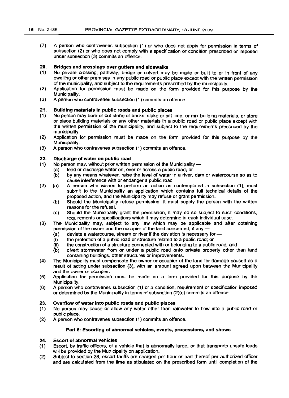(7) A person who contravenes subsection (1) or who does not apply for permission in terms of subsection (2) or who does not comply with a specification or condition prescribed or imposed under subsection (3) commits an offence.

#### 20. Bridges and crossings over gutters and sidewalks

- (1) No private crossing, pathway, bridge or culvert may be made or built to or in front of any dwelling or other premises in any public road or public place except with the written permission of the municipality, and subject to the requirements prescribed by the municipality.
- (2) Application for permission must be made on the form provided for this purpose by the Municipality.
- (3) A person who contravenes subsection (1) commits an offence.

#### 21. Building materials in public roads and public places

- (1) No person may bore or cut stone or bricks, slake or sift lime, or mix building materials, or store or place building materials or any other materials in a public road or public place except with the written permission of the municipality, and subject to the requirements prescribed by the municipality.
- (2) Application for permission must be made on the form provided for this purpose by the Municipality.
- (3) A person who contravenes subsection (1) commits an offence.

#### 22. Discharge of water on public road

- (1) No person may, without prior written permission of the Municipality  $-$ 
	- (a) lead or discharge water on, over or across a public road; or
	- (b) by any means whatever, raise the level of water in a river, dam or watercourse so as to cause interference with or endanger a public road
- (2) (a) A person who wishes to perform an action as contemplated in subsection (1), must submit to the Municipality an application which contains full technical details of the proposed action, and the Municipality may refuse or grant permission.
	- (b) Should the Municipality refuse permission, it must supply the person with the written reasons for the refusal.
	- (c) Should the Municipality grant the permission, It may do so SUbject to such conditions, requirements or specifications which it may determine in each individual case.
- (3) The Municipality may, subject to any law which may be applicable and after obtaining permission of the owner and the occupier of the land concemed, if any -<br>(a) deviate a watercourse, stream or river if the deviation is necessary
	- (a) deviate a watercourse, stream or river if the deviation is necessary for-<br>(i) the protection of a public road or structure related to a public road; or
	- the protection of a public road or structure related to a public road; or
	- (ii) the construction of a structure connected with or belonging to a public road; and
	- (b) divert stormwater from or under a public road onto private property other than land containing buildings, other structures or improvements.
- (4) The Municipality must compensate the owner or occupier of the land for damage caused as a result of acting under subsection (3), with an amount agreed upon between the Municipality and the owner or occupier.
- (5) Application for permission must be made on a form provided for this purpose by the Municipality.
- (6) A person who contravenes subsection (1) or a condition, requirement or specification imposed or determined by the Municipality in terms of subsection (2)(c) commits an offence.

#### 23. Overflow of water into public roads and public places

- (1) No person may cause or allow any water other than rainwater to flow into a public road or public place.
- (2) A person who contravenes subsection (1) commits an offence.

### Part 5: Escorting of abnormal vehicles, events, processions, and shows

#### 24. Escort of abnormal vehicles

- (1) Escort, by traffic officers, of a vehicle that is abnormally large, or that transports unsafe loads will be provided by the Municipality on application.
- (2) Subject to section 28, escort tariffs are charged per hour or part thereof per authorized officer and are calculated from the time as stipulated on the prescribed form until completion of the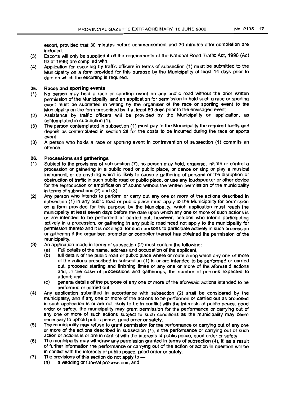escort, provided that 30 minutes before commencement and 30 minutes after completion are included.

- (3) Escorts will only be supplied if all the requirements of the National Road Traffic Act, 1996 (Act 93 of 1996) are compiled with.
- (4) Application for escorting by traffic officers in terms of subsection (1) must be submitted to the Municipality on a form provided for this purpose by the Municipality at least 14 days prior to date on which the escorting is required.

### 25. Races and sporting events

- (1) No person may hold a race or sporting event on any public road without the prior written permission of the Municipality, and an application for permission to hold such a race or sporting event must be submitted in writing by the organiser of the race or sporting event to the Municipality on the form prescribed by it at least 60 days prior to the envisaged event.
- (2) Assistance by traffic officers will be provided by the Municipality on application, as contemplated in subsection (1).
- (3) The person contemplated in subsection (1) must pay to the Municipality the required tariffs and deposit as contemplated in section 28 for the costs to be incurred during the race or sports event
- (3) A person who holds a race or sporting event in contravention of subsection (1) commits an offence.

### 26. Processions and gatherings

- (1) Subject to the provisions of sub-section (7), no person may hold, organise, initiate or control a procession or gathering in a public road or public place, or dance or sing or play a musical instrument, or do anything which is likely to cause a gathering of persons or the disruption or obstruction of traffic in such public road or public place, or use any loudspeaker or other device for the reproduction or amplification of sound without the written permission of the municipality in terms of subsections (2) and (3).
- (2) Any person who intends to perform or carry out anyone or more of the actions described in subsection (1) in any public road or public place must apply to the Municipality for permission on a form provided for this purpose by the Municipality, which application must reach the municipality at least seven days before the date upon which anyone or more of such actions is or are intended to be performed or carried out, however, persons who intend participating actively in a procession, or gathering in any public road need not apply to the municipality for permission thereto and it is not illegal for such persons to participate actively in such procession or gathering if the organiser, promoter or controller thereof has obtained the permission of the municipality.
- (3) An application made in terms of subsection (2) must contain the following:
	- (a) Full details of the name, address and occupation of the applicant;
	- (b) full details of the public road or public place where or route along which anyone or more of the actions prescribed in subsection (1) is or are intended to be performed or carried out, proposed starting and finishing times or anyone or more of the aforesaid actions and, in the case of processions and gatherings, the number of persons expected to attend; and
	- (c) general details of the purpose of anyone or more of the aforesaid actions intended to be performed or carried out.
- (4) Any application submitted in accordance with subsection (2) shall be considered by the municipality, and if anyone or more of the actions to be performed or carried out as proposed in such application is or are not likely to be in conflict with the interests of public peace, good order or safety, the municipality may grant permission for the performance or carrying out of any one or more of such actions subject to such conditions as the municipality may deem necessary to uphold public peace, good order or safety.
- (5) The municipality may refuse to grant permission for the performance or carrying out of anyone or more of the actions described in subsection (1), if the performance or carrying out of such action or actions is or are in conflict with the interests of public peace, good order or safety.
- (6) The municipality may withdraw any permission granted in terms of subsection (4), if, as a result of further information the performance or carrying out of the action or action in question will be in conflict with the interests of public peace, good order or safety.
- (7) The provisions of this section do not apply to
	- (a) a wedding or funeral processions; and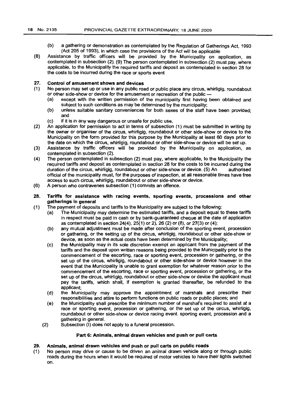- (b) a gathering or demonstration as contemplated by the Regulation of Gatherings Act, 1993 (Act 205 of 1993), in which case the provisions of the Act will be applicable
- (8) Assistance by traffic officers will be provided by the Municipality on application, as contemplated in subsection (2). (9) The person contemplated in subsection (2) must pay, where applicable, to the Municipality the required tariffs and deposit as contemplated in section 28 for the costs to be incurred during the race or sports event

#### 27. Control of amusement shows and devices

- (1) No person may set up or use in any public road or public place any circus, whirligig, roundabout or other side-show or device for the amusement or recreation of the public -
	- (a) except with the written permission of the municipality first having been obtained and subject to such conditions as may be determined by the municipality;
	- (b) unless suitable sanitary conveniences for both sexes of the staff have been provided; and
	- (c) if it is in any way dangerous or unsafe for public use.
- (2) An application for permission to act in terms of subsection (1) must be submitted in writing by the owner or organiser of the circus, whirligig, roundabout or other side-show or device to the Municipality on the form provided for this purpose by the Municipality at least 60 days prior to the date on which the circus, whirligig, roundabout or other side-show or device will be set up.
- (3) Assistance by traffic officers will be provided by the Municipality on application, as contemplated in subsection (2).
- (4) The person contemplated in subsection (2) must pay, where applicable, to the Municipality the required tariffs and deposit as contemplated in section 28 for the costs to be incurred during the duration of the circus, whirligig, roundabout or other side-show or device. (5) An authorised official of the municipality must, for the purposes of inspection, at all reasonable times have free access to such circus, whirligig, roundabout or other side-show or device.
- (6) A person who contravenes subsection (1) commits an offence.

#### 28. Tariffs for assistance with racing events, sporting events, processions and other gatherings in general

- (1) The payment of deposits and tariffs to the Municipality are subject to the following:
	- (a) The Municipality may determine the estimated tariffs, and a deposit equal to these tariffs in respect must be paid in cash or by bank-guaranteed cheque at the date of application as contemplated in section 24(4),25(1) or 2),26 (2) or (8), or 27(3) or (4);
	- (b) any mutual adjustment must be made after conclusion of the sporting event, procession or gathering, or the setting up of the circus, whirligig, roundabout or other side-show or device, as soon as the actual costs have been determined by the Municipality;
	- (c) the Municipality may in its sole discretion exempt an applicant from the payment of the tariffs and the deposit upon written reasons being provided to the Municipality prior to the commencement of the escorting, race or sporting event, procession or gathering, or the set up of the circus, whirligig, roundabout or other side-show or device however in the event that the Municipality is unable to grant exemption for whatever reason prior to the commencement of the escorting, race or sporting event, procession or gathering, or the set up of the circus, whirligig, roundabout or other side-show or device the applicant must pay the tariffs, which shall, if exemption is granted thereafter, be refunded to the applicant;
	- (d) the Municipality may approve the appointment of marshals and prescribe their responsibilities and attire to perform functions on public roads or puollc places; and
	- (e) the Municipality shall prescribe the minimum number of marshal's required to assist at a race or sporting event, procession or gathering, or the set up of the circus, Whirligig, roundabout or other side-show or device racing event, sporting event, procession and a gathering in general.
	- (2) Subsection (I) does not apply to a funeral procession.

# Part 6: Animals, animal drawn vehicles and push or pull carts

# 29. Animals, animal drawn vehicles and push or pull carts on public roads

(1) No person may drive or cause to be driven an animal drawn vehicle along or through public roads during the hours when it would be required of motor vehicles to have their lights switched on.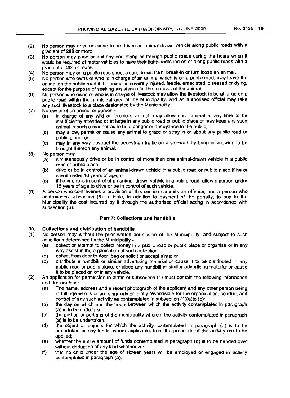- (2) No person may drive or cause to be driven an animal drawn vehicle along public roads with a gradient of 200 or more.
- (3) No person may push or pull any cart along or through public roads during the hours when it would be required of motor vehicles to have their lights switched on or along public roads with a gradient of 20° or more.
- (4) No person may on a public road shoe, clean, dress, train, break-in or turn loose an animal.
- (5) No person who owns or who is in charge of an animal which is on a public road, may leave the animal on the public road if the animal is severely injured, feeble, emaciated, diseased or dying, except for the purpose of seeking assistance for the removal of the animal.
- (6) No person who owns or who is in charge of livestock may allow the livestock to be at large on a public road within the municipal area of the Municipality, and an authorised official may take any such livestock to a place designated by the Municipality.
- (7) No owner of an animal or person -
	- (a) in charge of any wild or ferocious animal, may allow such animal at any time to be insufficiently attended or at large in any public road or public place or may keep any such animal in such a manner as to be a danger or annoyance to the public;
	- (b) may allow, permit or cause any animal to graze or stray in or about any public road or public place; or
	- (c) may in any way obstruct the pedestrian traffic on a sidewalk by bring or allowing to be brought thereon any animal.
- (8) No person may  $-$ 
	- (a) simultaneously drive or be in control of more than one animal-drawn vehicle in a public road or public place;
	- (b) drive or be in control of an animal-drawn vehicle in a public road or public place if he or she is under 16 years of age; or
	- (c) if he or she is in control of an animal-drawn vehicle in a public road, allow a person under 16 years of age to drive or be in control of such vehicle.
- (9) A person who contravenes a provision of this section commits an offence, and a person who contravenes subsection (6) is liable. in addition to payment of the penalty, to pay to the Municipality the cost incurred by it through the authorised official acting in accordance with subsection (6).

### Part 7: Collections and handbills

## 30. Collections and distribution of handbills

- (1) No person may without the prior written permission of the Municipality, and subject to such conditions determined by the Municipality -
	- (a) collect or attempt to collect money in a public road or public place or organise or in any way assist in the organisation of such collection;
	- (b) collect from door to door, beg or solicit or accept alms; or
	- (c) distribute a handbill or similar advertising material or cause it to be distributed in any public road or public place, or place any handbill or similar advertising material or cause it to be placed on or in any vehicle.
- (2) An application for permission in terms of subsection (1) must contain the following information and declarations:
	- (a) The name, address and a recent photograph of the applicant and any other person being in full age who is or are singularly or jointly responsible for the organisation, conduct and control of any such activity as contemplated in subsection (1)(a)to (c);
	- (b) the day on which and the hours between which the activity contemplated in paragraph (a) is to be undertaken;
	- (c) the portion or portions of the municipality wherein the activity contemplated in paragraph (a) is to be undertaken;
	- (d) the object or objects for which the activity contemplated in paragraph (a) is to be undertaken or any funds, where applicable, from the proceeds of the activity are to be applied;
	- (e) whether the entire amount of funds contemplated in paragraph (d) is to be handed over without deduction of any kind whatsoever;
	- (f) that no child under the age of sixteen years will be employed or engaged in activity contemplated in paragraph (a);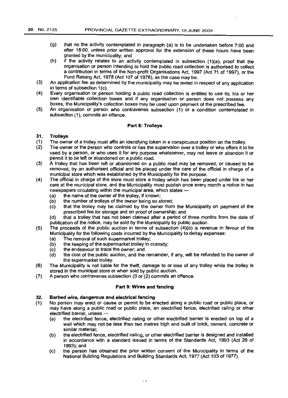- (g) that no the activity contemplated in paragraph (a) is to be undertaken before 7:00 and after 18:00, unless prior written approval for the extension of these hours have been granted by the municipality; and
- (h) if the activity relates to an activity contemplated in subsection (1)(a), proof that the organisation or person intending to hold the public road collection is authorised to collect a contribution in terms of the Non-profit Organisations Act, 1997 (Act 71 of 1997), or the Fund Raising Act, 1978 (Act 107 of 1978), as the case may be.
- (3) An application fee as determined by the municipality may be levied in respect of any application in terms of subsection 1(c).
- (4) Every organisation or person holding a public road collection is entitled to use its, his or her own identifiable collection boxes and if any organisation or person does not possess any boxes, the Municipality's collection boxes may be used upon payment of the prescribed fee.
- (5) An organisation or person who contravenes subsection (1) or a condition contemplated in subsection (1), commits an offence.

### Part 8: Trolleys

### 31. Trolleys

- (1) The owner of a trolley must affix an identifying token in a conspicuous position on the trolley.<br>(2) The owner or the person who controls or has the supervision over a trolley or who offers it to
- The owner or the person who controls or has the supervision over a trolley or who offers it to be used by a person, or who uses it for any purpose whatsoever, may not leave or abandon it or permit it to be left or abandoned on a public road.
- (3) A trolley that has been left or abandoned on a public road may be removed, or caused to be removed, by an authorised official and be placed under the care of the official in charge of a municipal store which was established by the Municipality for the purpose.
- (4) The official in charge of the store must store a trolley which has been placed under his or her care at the municipal store, and the Municipality must publish once every month a notice in two newspapers circulating within the municipal area, which states -
	- (a) the name of the owner of the trolley, if known;
	- (b) the number of trolleys of the owner being so stored;
	- (c) that the trolley may be claimed by the owner from the Municipality on payment of the prescribed fee for storage and on proof of ownership; and
	- (d) that a trolley that has not been claimed after a period of three months from the date of publication of the notice, may be sold by the Municipality by public auction.
- (5) The proceeds of the public auction in terms of subsection (4)(d) is revenue in favour of the Municipality for the following costs incurred by the Municipality to defray expenses:
	- (a) The removal of such supermarket trolley;
	- (b) the keeping of the supermarket trolley in custody;
	- (c) the endeavour to trace the owner; and
	- (d) the cost of the public auction, and the remainder, if any, will be refunded to the owner of the supermarket trolley.
- (6) The Municipality is not liable for the theft, damage to or loss of any trolley while the trolley is stored in the municipal store or when sold by public auction.
- (7) A person who contravenes subsection (I) or (2) commits an offence.

### Part 9: Wires and fencing

### 32. Barbed wire, dangerous and electrical fencing

- (1) No person may erect or cause or permit to be erected along a public road or public place, or may have along a public road or public place, an electrified fence, electrified railing or other electrified barrier, unless -
	- (a) the electrified fence, electrified railing or other electrified barrier is erected on top of a wall which may not be less than two metres high and built of brick, cement, concrete or similar material;
	- (b) the electrified fence, electrified railing, or other electrified barrier is designed and installed in accordance with a standard issued in terms of the Standards Act, 1993 (Act 29 of 1993); and
	- (c) the person has obtained the prior written consent of the Municipality in terms of the National Building Regulations and Building Standards Act, 1977 (Act 103 of 1977).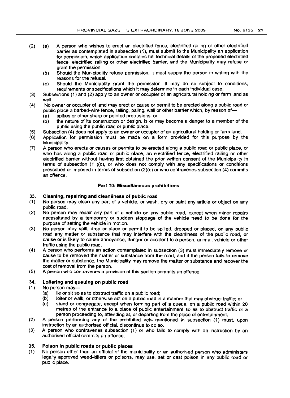- (2) (a) A person who wishes to erect an electrified fence, electrified railing or other electrified barrier as contemplated in subsection (1), must submit to the Municipality an application for permission, which application contains full technical details of the proposed electrified fence, electrified railing or other electrified barrier, and the Municipality may refuse or grant the permission.
	- (b) Should the Municipality refuse permission, it must supply the person in writing with the reasons for the refusal.
	- (c) Should the Municipality grant the permission, it may do so subject to conditions, requirements or specifications which it may determine in each individual case.
- (3) Subsections (1) and (2) apply to an owner or occupier of an agricultural holding or farm land as well.
- (4) No owner or occupier of land may erect or cause or permit to be erected along a public road or public place a barbed-wire fence, railing, paling, wall or other barrier which, by reason of-<br>(a) spikes or other sharp or pointed protrusions; or
	- spikes or other sharp or pointed protrusions; or
	- (b) the nature of its construction or design, is or may become a danger to a member of the public using the public road or public place.
- (5) Subsection (4) does not apply to an owner or occupier of an agricultural holding or farm land.
- Application for permission must be made on a form provided for this purpose by the Municipality.
- (7) A person who erects or causes or permits to be erected along a public road or public place, or who has along a public road or public place, an electrified fence, electrified railing or other electrified barrier without having first obtained the prior written consent of the Municipality in terms of subsection  $(1 \text{ )}(c)$ , or who does not comply with any specifications or conditions prescribed or imposed in terms of subsection (2)(c) or who contravenes subsection (4) commits an offence.

# Part 10: Miscellaneous prohibitions

# 33. Cleaning, repairing and cleanliness of public road

- (1) No person may clean any part of a vehicle, or wash, dry or paint any article or object on any public road.
- (2) No person may repair any part of a vehicle on any public road, except when minor repairs necessitated by a temporary or sudden stoppage of the vehicle need to be done for the purpose of setting the vehicle in motion.
- (3) No person may spill, drop or place or permit to be spilled, dropped or placed, on any public road any matter or substance that may interfere with the cleanliness of the public road, or cause or is likely to cause annoyance, danger or accident to a person, animal, vehicle or other traffic using the public road.
- (4) A person who performs an action contemplated in subsection (3) must immediately remove or cause to be removed the matter or substance from the road, and if the person fails to remove the matter or substance, the Municipality may remove the matter or substance and recover the cost of removal from the person.
- (5) A person who contravenes a provision of this section commits an offence.

# 34. Loitering and queuing on public road

(1) No person may-

- (a) lie or sit so as to obstruct traffic on a public road;
- (b) loiter or walk, or otherwise act on a public road in a manner that may obstruct traffic; or
- (c) stand or congregate, except when forming part of a queue, on a public road within 20 metres of the entrance to a place of public entertainment so as to obstruct traffic or a person proceeding to, attending at, or departing from the place of entertainment.
- (2) A person performing any of the prohibited acts mentioned in subsection (1) must, upon instruction by an authorised official, discontinue to do so.
- (3) A person who contravenes subsection (1) or who fails to comply with an instruction by an authorised official commits an offence.

# 35. Poison In public roads or public places

(1) No person other than an official of the municipality or an authorised person who administers legally approved weed-killers or poisons, may use, set or cast poison in any public road or public place.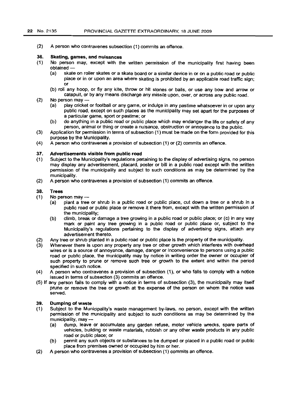(2) A person who contravenes subsection (1) commits an offence.

### 36. Skating, games, and nuisances

- (1) No person may, except with the written permission of the municipality first having been obtained -
	- (a) skate on roller skates or a skate board or a similar device in or on a public road or public place or in or upon an area where skating is prohibited by an applicable road traffic sign; or
	- (b) roll any hoop, or fly any kite, throw or hit stones or balls, or use any bow and arrow or catapult, or by any means discharge any missile upon, over, or across any public road.
- $(2)$  No person may  $-$ 
	- (a) play cricket or football or any game, or indulge in any pastime whatsoever in or upon any public road, except on such places as the municipality may set apart for the purposes of a particular game, sport or pastime; or
	- (b) do anything in a public road or public place which may endanger the life or safety of any person, animal or thing or create a nuisance, obstruction or annoyance to the public.
- (3) Application for permission in terms of subsection (1) must be made on the form provided for this purpose by the Municipality.
- (4) A person who contravenes a provision of subsection (1) or (2) commits an offence.

### 37. Advertisements visible from public road

- (1) Subject to the Municipality's regulations pertaining to the display of advertising signs, no person may display any advertisement, placard, poster or bill in a public road except with the written permission of the municipality and subject to such conditions as may be determined by the municipality.
- (2) A person who contravenes a provision of subsection (1) commits an offence.

### 38. Trees

- $(1)$  No person may  $-$ 
	- (a) plant a tree or shrub in a public road or public place, cut down a tree or a shrub in a public road or public place or remove it there from, except with the written permission of the municipality;
	- (b) climb, break or damage a tree growing in a public road or public place; or (c) in any way mark or paint any tree growing in a public road or public place or, subject to the Municipality's regulations pertaining to the display of advertising signs, attach any advertisement thereto.
- (2) Any tree or shrub planted in a public road or publlc place is the property of the municipality.
- (3) Whenever there is upon any property any tree or other growth which interferes with overhead wires or is a source of annoyance, damage, danger or inconvenience to persons using a public road or public place, the municipality may by notice in writing order the owner or occupier of such property to prune or remove such tree or growth to the extent and within the period specified in such notice.
- (4) A person who contravenes a provision of subsection (1), or who fails to comply with a notice issued in terms of subsection (3) commits an offence.
- (5) If any person fails to comply with a notice in terms of subsection (3), the municipality may itself prune or remove the tree or growth at the expense of the person on whom the notice was served.

### 39. Dumping of waste

- (1) Subject to the Municipality's waste management by-laws, no person, except with the written permission of the municipality and subject to such conditions as may be determined by the municipality, may-
	- (a) dump, leave or accumulate any garden refuse, motor vehicle wrecks, spare parts of vehicles, building or waste materials, rubbish or any other waste products in any public road or public place; or
	- (b) permit any such objects or substances to be dumped or placed in a public road or public place from premises owned or occupied by him or her.
- (2) A person who contravenes a provision of subsection (1) commits an offence.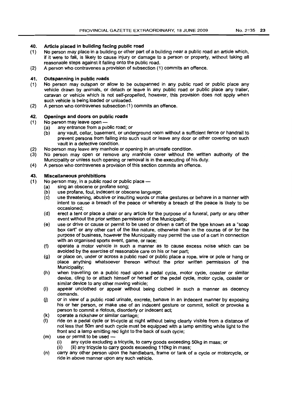# 40. Article placed in building facing public road

- (1) No person may place in a building or other part of a building near a public road an article which, if it were to fall, is likely to cause injury or damage to a person or property, without taking all reasonable steps against it falling onto the public road.
- (2) A person who contravenes a provision of subsection (1) commits an offence.

# 41. Outspanning in public roads

- (1) No person may outspan or allow to be outspanned in any public road or public place any vehicle drawn by animals, or detach or leave in any public road or public place any trailer, caravan or vehicle which is not self-propelled, however, this provision does not apply when such vehicle is being loaded or unloaded.
- (2) A person who contravenes subsection (1) commits an offence.

# 42. Openings and doors on public roads

(1) No person may leave open -

- (a) any entrance from a public road; or
- (b) any vault, cellar, basement, or underground room without a sufficient fence or handrail to prevent persons from falling into such vault or leave any door or other covering on such vault in a defective condition.
- (2) No person may leave any manhole or opening in an unsafe condition.
- (3) No person may open or remove any manhole cover without the written authority of the Municipality or unless such opening or removal is in the executing of his duty.
- (4) A person who contravenes a provision of this section commits an offence.

# 43. Miscellaneous prohibitions

- $(1)$  No person may, in a public road or public place  $-$ 
	- (a) sing an obscene or profane song;
		- (b) use profane, foul, indecent or obscene language;
		- (c) use threatening, abusive or insulting words or make gestures or behave in a manner with intent to cause a breach of the peace or whereby a breach of the peace is likely to be occasioned;
		- (d) erect a tent or place a chair or any article for the purpose of a funeral, party or any other event without the prior written permission of the Municipality;
		- (e) use or drive or cause or permit to be used or driven a cart of the type known as a "soap box cart" or any other cart of the like nature, otherwise than in the course of or for the purpose of business, however the Municipality may permit the use of a cart in connection with an organised sports event, game, or race;
		- (f) operate a motor vehicle in such a manner as to cause excess noise which can be avoided by the exercise of reasonable care on his or her part;
		- (g) or place on, under or across a public road or public place a rope, wire or pole or hang or place anything whatsoever thereon without the prior written permission of the Municipality;
		- (h) when travelling on a public road upon a pedal cycle, motor cycle, coaster or similar device, cling to or attach himself or herself or the pedal cycle, motor cycle, coaster or similar device to any other moving vehicle;
		- (i) appear unclothed or appear without being clothed in such a manner as decency demands.
		- (j) or in view of a public road urinate, excrete, behave in an indecent manner by exposing his or her person, or make use of an indecent gesture or commit, solicit or provoke a person to commit a riotous, disorderly or indecent act;
		- (k) operate a rickshaw or similar carriage;
		- ride on a pedal cycle or tri-cycle at night without being clearly visible from a distance of not less that SOm and such cycle must be equipped with a lamp emitting white light to the front and a lamp emitting red light to the back of such cycle;
		- (m) use or permit to be used  $-\frac{1}{2}$ <br>(i) any cycle excluding a
			- any cycle excluding a tricycle, to carry goods exceeding 50kg in mass; or
			- (ii) (ii) any tricycle to carry goods exceeding 110kg in mass;
		- (n) carry any other person upon the handlebars, frame or tank of a cycle or motorcycle, or ride in above manner upon any such vehicle.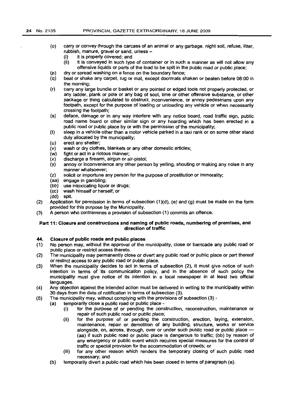- (0) carry or convey through the carcass of an animal or any garbage, night soil, refuse, litter, rubbish, manure, gravel or sand, unless-
	- (i) it is properly covered; and
	- (ii) it is conveyed in such type of container or in such a manner as will not allow any offensive liquids or parts of the load to be spilt in the public road or public place;
- (p) dry or spread washing on a fence on the boundary fence;
- (q) beat or shake any carpet, rug or mat, except doormats shaken or beaten before 08:00 in the morning;
- (r) carry any large bundle or basket or any pointed or edged tools not properly protected, or any ladder, plank or pole or any bag of soot, lime or other offensive substance, or other package or thing calculated to obstruct, inconvenience, or annoy pedestrians upon any footpath, except for the purpose of loading or unloading any vehicle or when necessarily crossing the footpath;
- (s) deface, damage or in any way interfere with any notice board, road traffic sign, public road name board or other similar sign or any hoarding which has been erected in a public road or public place by or with the permission of the municipality;
- (t) sleep in a vehicle other than a motor vehicle parked in a taxi rank or on some other stand duly allocated by the municipality;
- (u) erect any shelter;
- (v) wash or dry clothes, blankets or any other domestic articles;
- (w) fight or act in a riotous manner;
- (x) discharge a firearm, airgun or air-pistol;
- (y) annoy or inconvenience any other person by yelling, shouting or making any noise in any manner whatsoever;
- (z) solicit or importune any person for the purpose of prostitution or immorality;<br>(aa) engage in gambling;
- engage in gambling;
- (bb) use intoxicating liquor or drugs;
- (cc) wash himself or herself; or
- (dd) spit.
- (2) Application for permission in terms of subsection (1)(d), (e) and (g) must be made on the form provided for this purpose by the Municipality.
- (3) A person who contravenes a provision of subsection (1) commits an offence.

## Part 11: Closure and constructions and naming of public roads, numbering of premises, and direction of traffic

#### 44. Closure of public roads and public places

- (1) No person may, without the approval of the municipality, close or barricade any public road or public place or restrict access thereto.
- (2) The municipality may permanently close or divert any public road or public place or part thereof or restrict access to any public road or public place.
- (3) When the municipality decides to act in terms of subsection (2), it must give notice of such intention in terms of its communication policy, and in the absence of such policy the municipality must give notice of its intention in a local newspaper in at least two official languages.
- (4) Any objection against the intended action must be delivered in writing to the municipality within 30 days from the date of notification in terms of subsection (3).
- (5) The municipality may, without complying with the provisions of subsection (3)-
	- (a) temporarily close a public road or public place-
		- (i) for the purpose of or pending the construction, reconstruction, maintenance or repair of such public road or public place;
		- (ii) for the purpose of or pending the construction, erection, laying, extension, maintenance, repair or demolition of any building, structure, works or service alongside, on, across, through, over or under such public road or public place --(aa) if such public road or public place is dangerous to traffic; (bb) by reason of any emergency or public event which requires special measures for the control of traffic or special provision for the accommodation of crowds; or
		- (iii) for any other reason which renders the temporary closing of such public road necessary; and
		- (b) temporarily divert a public road which has been closed in terms of paragraph (a).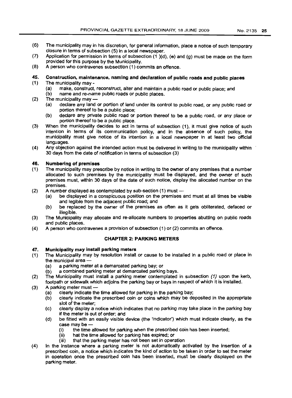- (6) The municipality may in his discretion, for general information, place a notice of such temporary closure in terms of subsection (5) in a local newspaper.
- (7) Application for permission in terms of subsection (1 )(d), (e) and (g) must be made on the form provided for this purpose by the Municipality.
- (8) A person who contravenes subsection (1) commits an offence.

# 45. Construction, maintenance, naming and declaration of public roads and public places

- (1) The municipality may
	- (a) make, construct, reconstruct, alter and maintain a public road or public place; and
	- (b) name and re-name public roads or public places.
- $(2)$  The municipality may  $-$ 
	- (a) declare any land or portion of land under its control to public road, or any public road or portion thereof to be a public place;
	- (b) declare any private public road or portion thereof to be a public road, or any place or portion thereof to be a public place.
- (3) When the municipality decides to act in terms of subsection (1), it must give notice of such intention in terms of its communication policy, and in the absence of such policy, the municipality must give notice of its intention in a local newspaper in at least two official languages.
- (4) Any objection against the intended action must be delivered in writing to the municipality within 30 days from the date of notification in terms of subsection (3)

# 46. Numbering of premises

- (1) The municipality may prescribe by notice in writing to the owner of any premises that a number allocated to such premises by the municipality must be displayed, and the owner of such premises must, within 30 days of the date of such notice, display the allocated number on the premises.
- (2) A number displayed as contemplated by sub-section  $(1)$  must  $-$ 
	- (a) be displayed in a conspicuous position on the premises and must at all times be visible and legible from the adjacent public road; and
	- (b) be replaced by the owner of the premises as often as it gets obliterated, defaced or illegible.
- (3) The Municipality may allocate and re-allocate numbers to properties abutting on public roads and public places.
- (4) A person who contravenes a provision of subsection (1) or (2) commits an offence.

## CHAPTER 2: PARKING METERS

## 47. Municipality may install parking meters

- (1) The Municipality may by resolution install or cause to be installed in a public road or place in the municipal area -
	- (a) a parking meter at a demarcated parking bay; or
	- (b) a combined parking meter at demarcated parking bays.
- (2) The Municipality must install a parking meter contemplated in subsection (1) upon the kerb, footpath or sidewalk which adjoins the parking bay or bays in respect of which it is installed.
- (3) A parking meter must --
	- (a) clearly indicate the time allowed for parking in the parking bay;
	- (b) clearly indicate the prescribed coin or coins which may be deposited in the appropriate slot of the meter;
	- (c) clearly display a notice which indicates that no parking may take place in the parking bay if the meter is out of order; and
	- (d) be fitted with an easily visible device (the 'indicator') which must indicate clearly, as the case may be-<br>(i) the time
		- the time allowed for parking when the prescribed coin has been inserted;
		- (ii) hat the time allowed for parking has expired; or<br>(iii) that the parking meter has not been set in operal
		- that the parking meter has not been set in operation
- (4) In the instance where a parking meter is not automatically activated by the insertion of a prescribed coin, a notice which indicates the kind of action to be taken in order to set the meter in operation once the prescribed coin has been inserted, must be clearly displayed on the parking meter.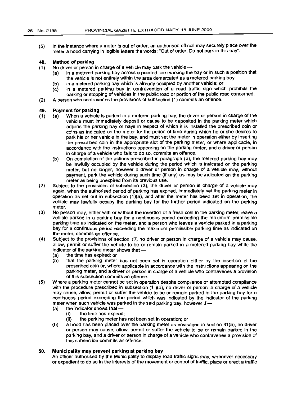(5) In the instance where a meter is out of order, an authorised official may securely place over the meter a hood carrying in legible letters the words: "Out of order. Do not park in this bay".

#### 48. Method of parking

- (1) No driver or person in charge of a vehicle may park the vehicle -
	- (a) in a metered parking bay across a painted line marking the bay or in such a position that the vehicle is not entirely within the area demarcated as a metered parking bay;
	- (b) in a metered parking bay which is already occupied by another vehicle; or
	- (c) in a metered parking bay in contravention of a road traffic sign which prohibits the parking or stopping of vehicles in the public road or portion of the public road concerned.
- (2) A person who contravenes the provisions of subsection (1) commits an offence.

#### 49. Payment for parking

- (1) (a) When a vehicle is parked in a metered parking bay, the driver or person in charge of the vehicle must immediately deposit or cause to be deposited in the parking meter which adjoins the parking bay or bays in respect of which it is installed the prescribed coin or coins as indicated on the meter for the period of time during which he or she desires to park his or her vehicle in the bay, and must set the meter in operation either by inserting the prescribed coin in the appropriate slot of the parking meter, or where applicable, in accordance with the instructions appearing on the parking meter, and a driver or person in charge of a vehicle who fails to do so, commits an offence.
	- (b) On completion of the actions prescribed in paragraph (a), the metered parking bay may be lawfully occupied by the vehicle during the period which is indicated on the parking meter, but no longer, however a driver or person in charge of a vehicle may, without payment, park the vehicle during such time (if any) as may be indicated on the parking meter as being unexpired from its previous use.
- (2) Subject to the provisions of subsection (3), the driver or person in charge of a vehicle may again, when the authorised period of parking has expired, immediately set the parking meter in operation as set out in subsection (1)(a), and after the meter has been set in operation, the vehicle may lawfully occupy the parking bay for the further period indicated on the parking meter.
- (3) No person may, either with or without the insertion of a fresh coin in the parking meter, leave a vehicle parked in a parking bay for a continuous period exceeding the maximum permissible parking time as indicated on the meter, and a person who leaves a vehicle parked in a parking bay for a continuous period exceeding the maximum permissible parking time as indicated on the meter, commits an offence.
- (4) SUbject to the provisions of section 17, no driver or person in charge of a vehicle may cause, allow, permit or suffer the vehicle to be or remain parked in a metered parking bay while the indicator of the parking meter shows that  $-$ 
	- (a) the time has expired: or
	- (b) that the parking meter has not been set in operation either by the insertion of the prescribed coin or, where applicable in accordance with the instructions appearing on the parking meter, and a driver or person in charge of a vehicle who contravenes a provision of this subsection commits an offence.
- (5) Where a parking meter cannot be set in operation despite compliance or attempted compliance with the procedure prescribed in subsection  $(1)(a)$ , no driver or person in charge of a vehicle may cause, allow, permit or suffer the vehicle to be or remain parked in the parking bay for a continuous period exceeding the period which was indicated by the indicator of the parking meter when such vehicle was parked in the said parking bay, however if -
	- $(a)$  the indicator shows that  $-$ 
		- (i) the time has expired;
		- (ii) the parking meter has not been set in operation; or
	- (b) a hood has been placed over the parking meter as envisaged in section 31(5), no driver or person may cause, allow, permit or suffer the vehicle to be or remain parked in the parking bay, and a driver or person in charge of a vehicle who contravenes a provision of this subsection commits an offence.

#### 50. Municipality may prevent parking at parking bay

An officer authorised by the Municipality to display road traffic signs may, whenever necessary or expedient to do so in the interests of the movement or control of traffic, place or erect a traffic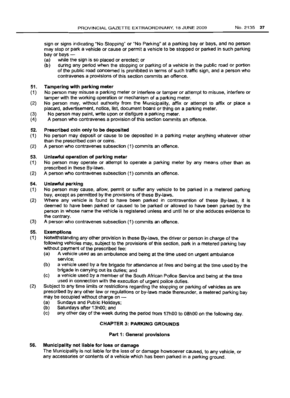sign or signs indicating "No Stopping" or "No Parking" at a parking bay or bays, and no person may stop or park a vehicle or cause or permit a vehicle to be stopped or parked in such parking

- bay or bays -<br>(a) while the while the sign is so placed or erected; or
- (b) during any period when the stopping or parking of a vehicle in the public road or portion of the public road concerned is prohibited in terms of such traffic sign, and a person who contravenes a provisions of this section commits an offence.

# 51. Tampering with parking meter

- (1) No person may misuse a parking meter or interfere or tamper or attempt to misuse, interfere or tamper with the working operation or mechanism of a parking meter.
- (2) No person may, without authority from the Municipality, affix or attempt to affix or place a placard, advertisement, notice, list, document board or thing on a parking meter.
- (3) No person may paint, write upon or disfigure a parking meter.
- (4) A person who contravenes a provision of this section commits an offence.

## 52. Prescribed coin only to be deposited

- (1) No person may deposit or cause to be deposited in a parking meter anything whatever other than the prescribed coin or coins.
- (2) A person who contravenes subsection (1) commits an offence.

# 53. Unlawful operation of parking meter

- (1) No person may operate or attempt to operate a parking meter by any means other than as prescribed in these By-laws.
- (2) A person who contravenes subsection (1) commits an offence.

## 54. Unlawful parking

- (1) No person may cause, allow, permit or suffer any vehicle to be parked in a metered parking bay, except as permitted by the provisions of these By-laws.
- (2) Where any vehicle is found to have been parked in contravention of these By-laws, it is deemed to have been parked or caused to be parked or allowed to have been parked by the person in whose name the vehicle is registered unless and until he or she adduces evidence to the contrary.
- (3) A person who contravenes subsection (1) commits an offence.

# 55. Exemptions

- (1) Notwithstanding any other provision in these By-laws, the driver or person in charge of the following vehicles may, subject to the provisions of this section, park in a metered parking bay without payment of the prescribed fee:
	- (a) A vehicle used as an ambulance and being at the time used on urgent ambulance service;
	- (b) a vehicle used by a fire brigade for attendance at fires and being at the time used by the brigade in carrying out its duties; and
	- (c) a vehicle used by a member of the South African Police Service and being at the time used in connection with the execution of urgent police duties.
- (2) Subject to any time limits or restrictions regarding the stopping or parking of vehicles as are prescribed by any other law or regulations or by-laws made thereunder, a metered parking bay may be occupied without charge on -
	- (a) Sundays and Public Holidays;<br>(b) Saturdays after 13h00; and
	- Saturdays after 13h00; and
	- (c) any other day of the week during the period from 17hOO to 08hOO on the following day.

# CHAPTER 3: PARKING GROUNDS

## Part 1: General provisions

# 56. Municipality not liable for loss or damage

The Municipality is not liable for the loss of or damage howsoever caused, to any vehicle, or any accessories or contents of a vehicle which has been parked in a parking ground.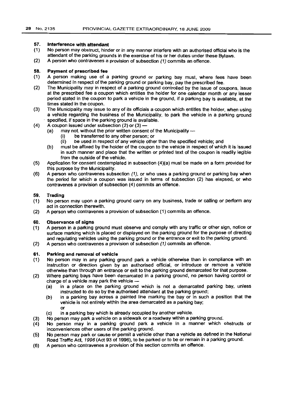#### 57. Interference with attendant

- (1) No person may obstruct. hinder or in any manner interfere with an authorised official who is the attendant of the parking grounds in the exercise of his or her duties under these Bylaws.
- (2) A person who contravenes a provision of subsection (1) commits an offence.

#### 58. Payment of prescribed fee

- (1) A person making use of a parking ground or parking bay must, where fees have been determined in respect of the parking ground or parking bay, pay the prescribed fee.
- (2) The Municipality may in respect of a parking ground controlled by the issue of coupons, issue at the prescribed fee a coupon which entitles the holder for one calendar month or any lesser period stated in the coupon to park a vehicle in the ground, if a parking bay is available, at the times stated in the coupon.
- (3) The Municipality may issue to any of its officials a coupon which entitles the holder, when using a vehicle regarding the business of the Municipality. to park the vehicle in a parking ground specified, if space in the parking ground is available.
- (4) A coupon issued under subsection  $(2)$  or  $(3)$  -
	- (a) may not, without the prior written consent of the Municipality --
		- (i) be transferred to any other person; or
		- (ii) be used in respect of any vehicle other than the specified vehicle; and
	- (b) must be affixed by the holder of the coupon to the vehicle in respect of which it is issued in such manner and place that the written or printed text of the coupon is readily legible from the outside of the vehicle.
- (5) Application for consent contemplated in subsection (4)(a) must be made on a form provided for this purpose by the Municipality.
- (6) A person who contravenes subsection (1), or who uses a parking ground or parking bay when the period for which a coupon was issued in terms of subsection (2) has elapsed, or who contravenes a provision of subsection (4) commits an offence.

#### 59. Trading

- (1) No person may upon a parking ground carry on any business, trade or calling or perform any act in connection therewith.
- (2) A person who contravenes a provision of subsection (1) commits an offence.

#### 60. Observance of signs

- (1) A person in a parking ground must observe and comply with any traffic or other sign, notice or surface marking which is placed or displayed on the parking ground for the purpose of directing and regulating vehicles using the parking ground or the entrance or exit to the parking ground.
- (2) A person who contravenes a provision of subsection (1) commits an offence.

#### 61. Parking and removal of vehicle

- (1) No person may in any parking ground park a vehicle otherwise than in compliance with an instruction or direction given by an authorised official, or introduce or remove a vehicle otherwise than through an entrance or exit to the parking ground demarcated for that purpose.
- (2) Where parking bays have been demarcated in a parking ground, no person having control or charge of a vehicle may park the vehicle  $-$ 
	- (a) in a place on the parking ground which is not a demarcated parking bay, unless instructed to do so by the authorised attendant at the parking ground;
	- (b) in a parking bay across a painted line marking the bay or in such a position that the vehicle is not entirely within the area demarcated as a parking bay; or
	- (c) in a parking bay which is already occupied by another vehicle.
- (3) No person may park a vehicle on a sidewalk or a roadway within a parking ground.
- $(4)$ No person may in a parking ground park a vehicle in a manner which obstructs or inconveniences other users of the parking ground.
- (5) No person may park or cause or permit a vehicle other than a vehicle as defined in the National Road Traffic Act, 1996 (Act 93 of 1996), to be parked or to be or remain in a parking ground.
- (6) A person who contravenes a provision of this section commits an offence.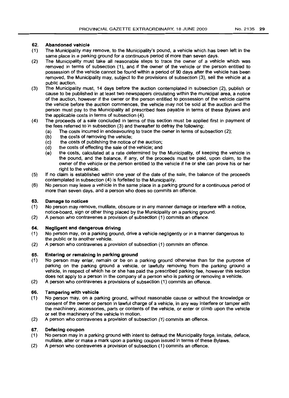# 62. Abandoned vehicle

- (1) The Municipality may remove. to the Municipality's pound, a vehicle which has been left in the same place in a parking ground for a continuous period of more than seven days.
- (2) The Municipality must take all reasonable steps to trace the owner of a vehicle which was removed in terms of subsection (1), and if the owner of the vehicle or the person entitled to possession of the vehicle cannot be found within a period of 90 days after the vehicle has been removed, the Municipality may, subject to the provisions of subsection (3), sell the vehicle at a public auction.
- (3) The Municipality must, 14 days before the auction contemplated in subsection (2), publish or cause to be published in at least two newspapers circulating within the municipal area, a notice of the auction, however if the owner or the person entitled to possession of the vehicle claims the vehicle before the auction commences, the vehicle may not be sold at the auction and the person must pay to the Municipality all prescribed fees payable in terms of these Bylaws and the applicable costs in terms of subsection (4).
- (4) The proceeds of a sale concluded in terms of this section must be applied first in payment of the fees referred to in subsection (3) and thereafter to defray the following:
	- (a) The costs incurred in endeavouring to trace the owner in terms of subsection (2);
	- (b) the costs of removing the vehicle;
	- (c) the costs of publishing the notice of the auction;
	- (d) the costs of effecting the sale of the vehicle; and
	- (e) the costs, calculated at a rate determined by the Municipality, of keeping the vehicle in the pound, and the balance, if any, of the proceeds must be paid, upon claim, to the owner of the vehicle or the person entitled to the vehicle if he or she can prove his or her right to the vehicle.
- (5) If no claim is established within one year of the date of the sale, the balance of the proceeds contemplated in subsection (4) is forfeited to the Municipality.
- (6) No person may leave a vehicle in the same place in a parking ground for a continuous period of more than seven days, and a person who does so commits an offence.

## 63. Damage to notices

- (1) No person may remove, mutilate, obscure or in any manner damage or interfere with a notice, notice-board, sign or other thing placed by the Municipality on a parking ground.
- (2) A person who contravenes a provision of subsection (1) commits an offence.

## 64. Negligent and dangerous driving

- (1) No person may, on a parking ground, drive a vehicle negligently or in a manner dangerous to the public or to another vehicle.
- (2) A person who contravenes a provision of subsection (1) commits an offence.

## 65. Entering or remaining in parking ground

- (1) No person may enter, remain or be on a parking ground otherwise than for the purpose of parking on the parking ground a vehicle, or lawfully removing from the parking ground a vehicle, in respect of which he or she has paid the prescribed parking fee, however this section does not apply to a person in the company of a person who is parking or removing a vehicle.
- (2) A person who contravenes a provisions of subsection (1) commits an offence.

## 66. Tampering with vehicle

- (1) No person may, on a parking ground, without reasonable cause or without the knowledge or consent of the owner or person in lawful charge of a vehicle, in any way interfere or tamper with the machinery, accessories, parts or contents of the vehicle, or enter or climb upon the vehicle or set the machinery of the vehicle in motion.
- (2) A person who contravenes a provision of subsection (1) commits an offence.

# 67. Defacing coupon

- (1) No person may in a parking ground with intent to defraud the Municipality forge, imitate, deface, mutilate, alter or make a mark upon a parking coupon issued in terms of these Bylaws.
- (2) A person who contravenes a provision of subsection (1) commits an offence.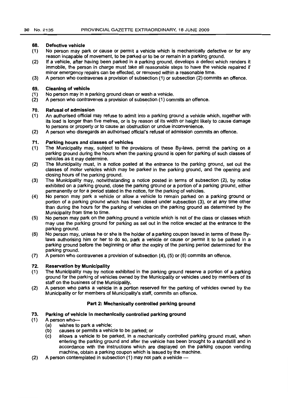#### 68. Defective vehicle

- (1) No person may park or cause or permit a vehicle which is mechanically defective or for any reason incapable of movement, to be parked or to be or remain in a parking ground.
- (2) If a vehicle, after having been parked in a parking ground, develops a defect which renders it immobile, the person in charge must take all reasonable steps to have the vehicle repaired if minor emergency repairs can be effected, or removed within a reasonable time.
- (3) A person who contravenes a provision of subsection (1) or subsection (2) commits an offence.

#### 69. Cleaning of vehicle

- (1) No person may in a parking ground clean or wash a vehicle.
- (2) A person who contravenes a provision of subsection (1) commits an offence.

#### 70. Refusal of admission

- (1) An authorised official may refuse to admit into a parking ground a vehicle which, together with its load is longer than five metres, or is by reason of its width or height likely to cause damage to persons or property or to cause an obstruction or undue inconvenience.
- (2) A person who disregards an authorised official's refusal of admission commits an offence.

#### 71. Parking hours and classes of vehicles

- (1) The Municipality may, subject to the provisions of these By-laws, permit the parking on a parking ground during the hours when the parking ground is open for parking of such classes of vehicles as it may determine.
- (2) The Municipality must, in a notice posted at the entrance to the parking ground, set out the classes of motor vehicles which may be parked in the parking ground, and the opening and closing hours of the parking ground.
- (3) The Municipality may, notwithstanding a notice posted in terms of subsection (2), by notice exhibited on a parking ground, close the parking ground or a portion of a parking ground, either permanently or for a period stated in the notice, for the parking of vehicles.
- (4) No person may park a vehicle or allow a vehicle to remain parked on a parking ground or portion of a parking ground which has been closed under subsection (3), or at any time other than during the hours for the parking of vehicles on the parking ground as determined by the Municipality from time to time.
- (5) No person may park on the parking ground a vehicle which is not of the class or classes which may use the parking ground for parking as set out in the notice erected at the entrance to the parking ground.
- (6) No person may, unless he or she is the holder of a parking coupon issued in terms of these Bylaws authorising him or her to do so, park a vehicle or cause or permit it to be parked in a parking ground before the beginning or after the expiry of the parking period determined for the parking ground.
- (7) A person who contravenes a provision of subsection (4), (5) or (6) commits an offence.

#### 72. Reservation by Municipality

- (1) The Municipality may by notice exhibited in the parking ground reserve a portion of a parking ground for the parking of vehicles owned by the Municipality or vehicles used by members of its staff on the business of the Municipality.
- (2) A person who parks a vehicle in a portion reserved for the parking of vehicles owned by the Municipality or for members of Municipality's staff, commits an offence.

### Part 2: Mechanically controlled parking ground

### 73. Parking of vehicle in mechanically controlled parking ground

- (1) A person who-<br>(a) wishes to
	- (a) wishes to park a vehicle;<br>(b) causes or permits a vehic
	- causes or permits a vehicle to be parked; or
	- (c) allows a vehicle to be parked, in a mechanically controlled parking ground must, when entering the parking ground and after the vehicle has been brought to a standstill and in accordance with the instructions which are displayed on the parking coupon vending machine, obtain a parking coupon which is issued by the machine.
- (2) A person contemplated in subsection (1) may not park a vehicle -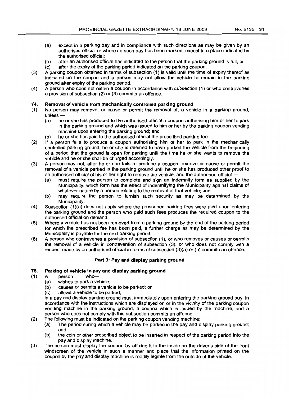- (a) except in a parking bay and in compliance with such directions as may be given by an authorised official or where no such bay has been marked, except in a place indicated by the authorised official;
- (b) after an authorised official has indicated to the person that the parking ground is full; or
- (c) after the expiry of the parking period indicated on the parking coupon.
- (3) A parking coupon obtained in terms of subsection (1) is valid until the time of expiry thereof as indicated on the coupon and a person may not allow the vehicle to remain in the parking ground after expiry of the parking period.
- (4) A person who does not obtain a coupon in accordance with subsection (1) or who contravenes a provision of subsection (2) or (3) commits an offence.

# 74. **Removal of vehicle from mechanically controlled parking ground**

- (1) No person may remove, or cause or permit the removal of, a vehicle in a parking ground,  $unless -$ 
	- (a) he or she has produced to the authorised official a coupon authorising him or her to park in the parking ground and which was issued to him or her by the parking coupon vending machine upon entering the parking ground; and
	- (b) he or she has paid to the authorised official the prescribed parking fee.
- (2) If a person fails to produce a coupon authorising him or her to park in the mechanically controlled parking ground, he or she is deemed to have parked the vehicle from the beginning of a period that the ground is open for parking until the time he or she wants to remove the vehicle and he or she shall be charged accordingly.
- (3) A person may not, after he or she fails to produce a coupon, remove or cause or permit the removal of a vehicle parked in the parking ground until he or she has produced other proof to an authorised official of his or her right to remove the vehicle, and the authorised official -
	- (a) must require the person to complete and sign an indemnity form as supplied by the Municipality, which form has the effect of indemnifying the Municipality against claims of whatever nature by a person relating to the removal of that vehicle; and
	- (b) may require the person to furnish such security as may be determined by the Municipality.
- (4) Subsection (1)(a) does not apply where the prescribed parking fees were paid upon entering the parking ground and the person who paid such fees produces the required coupon to the authorised official on demand.
- (5) Where a vehicle has not been removed from a parking ground by the end of the parking period for which the prescribed fee has been paid, a further charge as may be determined by the Municipality is payable for the next parking period.
- (6) A person who contravenes a provision of subsection (1), or who removes or causes or permits the removal of a vehicle in contravention of subsection (3), or who does not comply with a request made by an authorised official in terms of subsection (3)(a) or (b) commits an offence.

# **Part 3: Pay and display parking ground**

# 75. **Parking of vehicle in pay and display parking ground**

- (1) A person who-
	- (a) wishes to park a vehicle;
	- (b) causes or permits a vehicle to be parked; or
	- (c) allows a vehicle to be parked,

in a pay and display parking ground must immediately upon entering the parking ground buy, in accordance with the instructions which are displayed on or in the vicinity of the parking coupon vending machine in the parking ground, a coupon which is issued by the machine, and a person who does not comply with this subsection commits an offence.

- (2) The following must be indicated on the parking coupon vending machine:
	- (a) The period during which a vehicle may be parked in the pay and display parking ground; and
	- (b) the coin or other prescribed object to be inserted in respect of the parking period into the pay and display machine.
- (3) The person must display the coupon by affixing it to the inside on the driver's side of the front windscreen of the vehicle in such a manner and place that the information printed on the coupon by the pay and display machine is readily legible from the outside of the vehicle.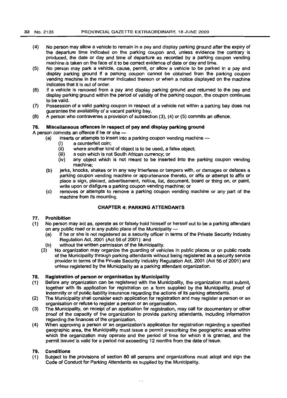- (4) No person may allow a vehicle to remain in a pay and display parking ground after the expiry of the departure time indicated on the parking coupon and, unless evidence the contrary is produced, the date or day and time of departure as recorded by a parking coupon vending machine is taken on the face of it to be correct evidence of date or day and time.
- (5) No person may park a vehicle, cause, permit, or allow a vehicle to be parked in a pay and display parking ground if a parking coupon cannot be obtained from the parking coupon vending machine in the manner indicated thereon or when a notice displayed on the machine indicates that it is out of order.
- (6) If a vehicle is removed from a pay and display parking ground and returned to the pay and display parking ground within the period of validity of the parking coupon, the coupon continues to be valid.
- (7) Possession of a valid parking coupon in respect of a vehicle not within a parking bay does not guarantee the availability of a vacant parking bay.
- (8) A person who contravenes a provision of subsection (3), (4) or (5) commits an offence.

# 76. Miscellaneous offences in respect of pay and display parking ground

A person commits an offence if he or she -

- (a) inserts or attempts to insert into a parking coupon vending machine --
	- (i) a counterfeit coin;
	- (ii) where another kind of object is to be used, a false object;
	- (iii) a coin which is not South African currency; or
	- (iv) any object which is not meant to be inserted into the parking coupon vending machine;
- (b) jerks, knocks, shakes or in any way interferes or tampers with, or damages or defaces a parking coupon vending machine or appurtenance thereto, or affix or attempt to affix or place a sign, placard, advertisement, notice, list, document, board or thing on, or paint, write upon or disfigure a parking coupon vending machine; or
- (c) removes or attempts to remove a parking coupon vending machine or any part of the machine from its mounting.

# CHAPTER 4: PARKING ATTENDANTS

#### 77. Prohibition

- (1) No person may act as, operate as or falsely hold himself or herself out to be a parking attendant on any public road or in any public place of the Municipality -
	- (a) if he or she is not registered as a security officer in terms of the Private Security Industry RegUlation Act, 2001 (Act 56 of 2001): and
	- (b) without the written permission of the Municipality.
	- (3) No organization may organize the guarding of vehicles in public places or on public roads of the Municipality through parking attendants without being registered as a security service provider in terms of the Private Security Industry Regulation Act, 2001 (Act 56 of 2001) and unless registered by the Municipality as a parking attendant organization.

#### 78. Registration of person or organisation by Municipality

- (1) Before any organization can be registered with the Municipality, the organization must submit, together with its application for registration on a form supplied by the Municipality, proof of indemnity or of public liability insurance regarding the actions of its parking attendants.
- (2) The Municipality shall consider each application for registration and may register a person or an organisation or refuse to register a person or an organisation.
- (3) The Municipality, on receipt of an application for registration, may call for documentary or other proof of the capacity of the organization to provide parking attendants, including information regarding the finances of the organization.
- (4) When approving a person or an organization's application for registration regarding a specified geographic area, the Municipality must issue a permit prescribing the geographic areas within which the organization may operate and the period of time for which it is granted, and the permit issued is valid for a period not exceeding 12 months from the date of issue.

#### 79. Conditions

(1) Subject to the provisions of section 80 all persons and organizations must adopt and sign the Code of Conduct for Parking Attendants as supplied by the Municipality.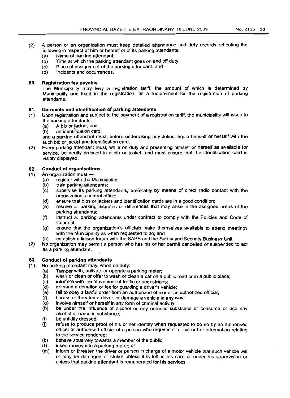- (2) A person or an organization must keep detailed attendance and duty records reflecting the following in respect of him or herself or of its parking attendants:
	- (a) Name of parking attendant;
	- (b) Time at which the parking attendant goes on and off duty:
	- (C) Place of assignment of the parking attendant: and
	- (d) Incidents and occurrences.

## 80. Registration fee payable

The Municipality may levy a registration tariff, the amount of which is determined by Municipality and fixed in the registration, as a requirement for the registration of parking attendants.

# 81. Garments and identification of parking attendants

(1) Upon registration and subject to the payment of a registration tariff, the municipality will issue to the parking attendants:

- (a) A bib or jacket; and
- (b) an identification card,

and a parking attendant must, before undertaking any duties, equip himself or herself with the such bib or jacket and identification card.

(2) Every parking attendant must, while on duty and presenting himself or herself as available for service, be neatly dressed in a bib or jacket, and must ensure that the identification card is visibly displayed.

# 82. Conduct of organisations

- (1) An organization must-
	- (a) register with the Municipality;
	- (b) train parking attendants;
	- (c) supervise its parking attendants, preferably by means of direct radio contact with the organization's control office;
	- (d) ensure that bibs or jackets and identification cards are in a good condition;
	- (e) resolve all parking disputes or differences that may arise in the assigned areas of the parking attendants;
	- (f) instruct all parking attendants under contract to comply with the Policies and Code of Conduct;
	- (g) ensure that the organization's officials make themselves available to attend meetings with the Municipality as when requested to do; and
	- (h) establish a liaison forum with the SAPS and the Safety and Security Business Unit.
- (2) No organization may permit a person who has his or her permit cancelled or suspended to act as a parking attendant.

# 83. Conduct of parking attendants

- (1) No parking attendant may, when on duty:
	- (a) Tamper with, activate or operate a parking meter;
	- (b) wash or clean or offer to wash or clean a car on a public road or in a public place;<br>(c) interfere with the movement of traffic or pedestrians;
	- interfere with the movement of traffic or pedestrians;
	- (d) demand a donation or fee for guarding a driver's vehicle;<br>(e) fail to obey a lawful order from an authorized officer or an
	- fail to obey a lawful order from an authorized officer or an authorized official;
	- (f) harass or threaten a driver, or damage a vehicle in any way;
	- (g) involve himself or herself in any form of criminal activity;
	- (h) be under the influence of alcohol or any narcotic substance or consume or use any alcohol or narcotic substance;
	-
	- (i) be untidily dressed;<br>(j) refuse to produce p refuse to produce proof of his or her identity when requested to do so by an authorised officer or authorised official of a person who requires it for his or her information relating to the service rendered;
	- (k) behave abusively towards a member of the public;
	- (I) insert money into a parking meter; or
	- (m) inform or threaten the driver or person in charge of a motor vehicle that such vehicle will or may be damaged or stolen unless it is left in his care or under his supervision or unless that parking attendant is remunerated for his services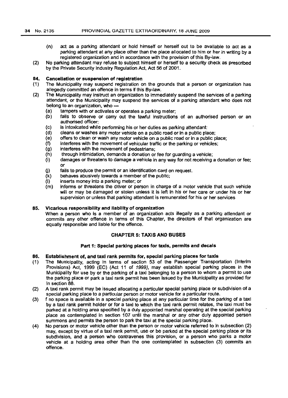- (n) act as a parking attendant or hold himself or herself out to be available to act as a parking attendant at any place other than the place allocated to him or her in writing by a registered organization and in accordance with the provision of this By-law.
- (2) No parking attendant may refuse to subject himself or herself to a security check as prescribed by the Private Security Industry Regulation Act, Act 56 of 2001.

#### 84. Cancellation or suspension of registration

- (1) The Municipality may suspend registration on the grounds that a person or organization has allegedly committed an offence in terms if this By-law.
- (2) The Municipality may instruct an organization to immediately suspend the services of a parking attendant, or the Municipality may suspend the services of a parking attendant who does not belong to an organization, who -
	- (a) tampers with or activates or operates a parking meter;
	- (b) fails to observe or carry out the lawful instructions of an authorised person or an authorised officer:
	- (c) is intoxicated while performing his or her duties as parking attendant:
	- (d) cleans or washes any motor vehicle on a public road or in a public place;
	- (e) offers to clean or wash any motor vehicle on a public road or in a public place;
	- (f) interferes with the movement of vehicular traffic or the parking or vehicles;
	- (g) interferes with the movement of pedestrians;
	- (h) through intimidation, demands a donation or fee for guarding a vehicle;
	- $(i)$  damages or threatens to damage a vehicle in any way for not receiving a donation or fee; or
	- (j) fails to produce the permit or an identification card on request.
	- (k) behaves abusively towards a member of the public;
	- $(1)$  inserts money into a parking meter; or  $(m)$  informs or threatens the driver or person
	- informs or threatens the driver or person in charge of a motor vehicle that such vehicle will or may be damaged or stolen unless it is left in his or her care or under his or her supervision or unless that parking attendant is remunerated for his or her services

#### 85. Vicarious responsibility and liability of organization

When a person who is a member of an organization acts illegally as a parking attendant or commits any other offence in terms of this Chapter, the directors of that organization are equally responsible and liable for the offence.

### CHAPTER 5: TAXIS AND BUSES

### Part 1: Special parking places for taxis, permits and decals

### 86. Establishment of, and taxi rank permits for, special parking places for taxis

- (1) The Municipality, acting in terms of section 53 of the Passenger Transportation (Interim Provisions) Act, 1999 (EC) (Act 11 of 1999), may establish special parking places in the Municipality for use by or the parking of a taxi belonging to a person to whom a permit to use the parking place or park a taxi rank permit has been issued by the Municipality as provided for in section 88.
- (2) A taxi rank permit may be issued allocating a particular special parking place or subdivision of a special parking place to a particular person or motor vehicle for a particular route.
- (3) f no space is available in a special parking place at any particular time for the parking of a taxi by a taxi rank permit holder or for a taxi to which the taxi rank permit relates, the taxi must be parked at a holding area specified by a duly appointed marshal operating at the special parking place as contemplated in section 107 until the marshal or any other duly appointed person summons and permits the person to park the taxi at the special parking place.
- (4) No person or motor vehicle other than the person or motor vehicle referred to in subsection (2) may, except by virtue of a taxi rank permit, use or be parked at the special parking place or its subdivision, and a person who contravenes this provision, or a person who parks a motor vehicle at a holding area other than the one contemplated in subsection (3) commits an offence.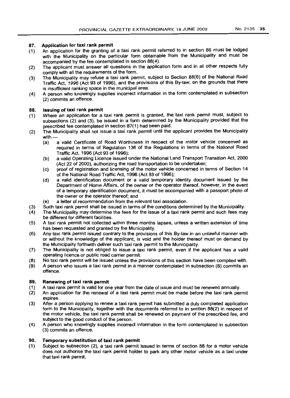#### 87. Application for taxi rank permit

- (1) An application for the granting of a taxi rank permit referred to in section 86 must be lodged with the Municipality on the particular form obtainable from the Municipality and must be accompanied by the fee contemplated in section 88(4).
- (2) The applicant must answer all questions in the application form and in all other respects fully comply with all the requirements of the form.
- (3) The Municipality may refuse a taxi rank permit, subject to Section 88(6) of the National Road Traffic Act, 1996 (Act 93 of 1996), and the provisions of this By-law, on the grounds that there is insufficient ranking space in the municipal area.
- (4) A person who knowingly supplies incorrect information in the form contemplated in subsection (2) commits an offence.

#### 88. Issuing of taxi rank permit

- (1) Where an application for a taxi rank permit is granted, the taxi rank permit must, subject to subsections (2) and (3), be issued in a form determined by the Municipality provided that the prescribed fee contemplated in section 87(1) had been paid.
- (2) The Municipality shall not issue a taxi rank permit until the applicant provides the Municipality with-
	- (a) a valid Certificate of Road Worthiness in respect of the motor vehicle concerned as required in terms of Regulation 138 of the RegUlations in terms of the National Road Traffic Act, 1996 (Act 93 of 1996);
	- (b) a valid Operating Licence issued under the National Land Transport Transition Act, 2000 (Act 22 of 2000), authorizing the road transportation to be undertaken;
	- (c) proof of registration and licensing of the motor vehicle concerned in terms of Section 14 of the National Road Traffic Act, 1996 (Act 93 of 1996);
	- (d) a valid identification document or a valid temporary identity document issued by the Department of Home Affairs, of the owner or the operator thereof, however, in the event of a temporary identification document, it must be accompanied with a passport photo of the owner or the operator thereof; and
	- (e) a letter of recommendation from the relevant taxi association.
- (3) Such taxi rank permit shall be issued in terms of the conditions determined by the Municipality.
- (4) The Municipality may determine the fees for the issue of a taxi rank permit and such fees may be different for different facilities.
- (5) A taxi rank permit not collected within three months lapses, unless a written extension of time has been requested and granted by the Municipality.
- (6) Any taxi rank permit issued contrary to the provisions of this By-law in an unlawful manner with or without the knowledge of the applicant, is void and the holder thereof must on demand by the Municipality forthwith deliver such taxi rank permit to the Municipality.
- (7) The Municipality is not obliged to issue a taxi rank permit, even if the applicant has a valid operating licence or public road carrier permit.
- (8) No taxi rank permit will be issued unless the provisions of this section have been complied with.
- (9) A person who issues a taxi rank permit in a manner contemplated in subsection (6) commits an offence.

#### 89. Renewing of taxi rank permit

- (1) A taxi rank permit is valid for one year from the date of issue and must be renewed annually.
- $(2)$ An application for the renewal of a taxi rank permit must be made before the taxi rank permit expires.
- (3) After a person applying to renew a taxi rank permit has submitted a duly completed application form to the Municipality, together with the documents referred to in section 88(2) in respect of the motor vehicle, the taxi rank permit shall be renewed on payment of the prescribed fee, and subject to the good conduct of the person.
- (4) A person who knowingly supplies incorrect information in the form contemplated in subsection (3) commits an offence.

#### 90. Temporary substitution of taxi rank permit

(1) Subject to subsection (2), a taxi rank permit issued in terms of section 88 for a motor vehicle does not authorise the taxi rank permit holder to park any other motor vehicle as a taxi under that taxi rank permit.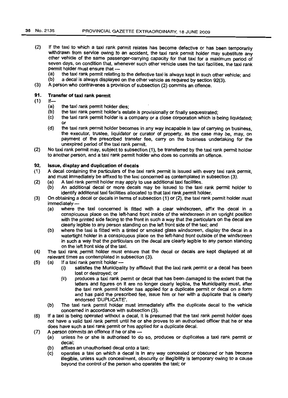- If the taxi to which a taxi rank permit relates has become defective or has been temporarily withdrawn from service owing to an accident, the taxi rank permit holder may substitute any other vehicle of the same passenger-carrying capacity for that taxi for a maximum period of seven days, on condition that, whenever such other vehicle uses the taxi facilities, the taxi rank permit holder must ensure that - (2)
	- (a) the taxi rank permit relating to the defective taxi is always kept in such other vehicle; and  $(b)$  a decal is always displayed on the other vehicle as required by section 92(3).
	- a decal is always displayed on the other vehicle as required by section 92(3).
- (3) A person who contravenes a provision of subsection (2) commits an offence.

#### Transfer of taxi rank permit 91.

- $If -$ (1)
	- (a) the taxi rank permit holder dies;
	- (b) the taxi rank permit holder's estate is provisionally or finally sequestrated;
	- (c) the taxi rank permit holder is a company or a close corporation which is being liquidated; or
	- (d) the taxi rank permit holder becomes in any way incapable in law of carrying on business, the executor, trustee, liquidator or curator of property, as the case may be, may, on payment of the prescribed transfer fee, carry on the business undertaking for the unexpired period of the taxi rank permit.
- No taxi rank permit may, subject to subsection (1), be transferred by the taxi rank permit holder to another person, and a *taxi* rank permit holder who does so commits an offence. (2)

#### 92. Issue, display and duplication of decals

- (1) A decal containing the particulars of the taxi rank permit is issued with every taxi rank permit, and must immediately be affixed to the taxi concerned as contemplated in subsection (3).
- (2) (a) A taxi rank permit holder may apply to use additional taxi facilities.
	- (b) An additional decal or more decals may be issued to the taxi rank permit holder to identify additional taxi facilities allocated to that taxi rank permit holder.
- (3) On obtaining a decal or decals in terms of subsection (1) or (2), the taxi rank permit holder must  $immediately -$ 
	- (a) where the taxi concerned is fitted with a clear windscreen, affix the decal in a conspicuous place on the left-hand front inside of the windscreen in an upright position with the printed side facing to the front in such a way that the particulars on the decal are clearly legible to any person standing on the left front side of the taxi; and
	- (b) where the taxi is fitted with a tinted or smoked glass windscreen, display the decal in a watertight holder in a conspicuous place on the left-hand front outside of the windscreen in such a way that the particulars on the decal are clearly legible to any person standing on the left front side of the taxi.
- (4) The taxi rank permit holder must ensure that the decal or decals are kept displayed at all relevant times as contemplated in subsection (3).
- (5) (a) If a taxi rank permit holder  $-$ 
	- (i) satisfies the Municipality by affidavit that the taxi rank permit or a decal has been lost or destroyed; or
	- (ii) produces a taxi rank permit or decal that has been damaged to the extent that the letters and figures on it are no longer clearly legible, the Municipality must, after the taxi rank permit holder has applied for a duplicate permit or decal on a form and has paid the prescribed fee, issue him or her with a duplicate that is clearly endorsed 'DUPLICATE'.
	- (b) The taxi rank permit holder must immediately affix the duplicate decal to the vehicle concerned in accordance with subsection (3).
- (6) If a taxi is-being operated without a decal, it is presumed that the taxi rank permit holder does not have a valid taxi rank permit until he or she proves to an authorised officer that he or she does have such a taxi rank permit or has applied for a duplicate decal.
- (7) A person commits an offence if he or she --
	- (a) unless he or she is authorised to do so, produces or duplicates a taxi rank permit or decal;
		- (b) affixes an unauthorised decal onto a taxi;
		- (c) operates a taxi on which a decal is in any way concealed or obscured or has become illegible, unless such concealment, obscurity or illegibility is temporary owing to a cause beyond the control of the person who operates the taxi; or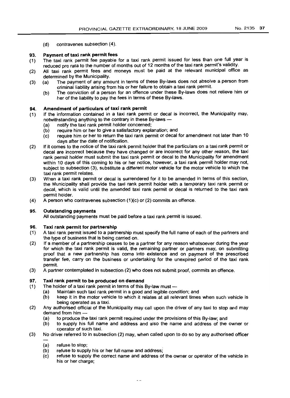(d) contravenes subsection (4).

#### 93. Payment of taxi rank permit fees

- (1) The taxi rank permit fee payable for a taxi rank permit issued for less than one full year is reduced pro rata to the number of months out of 12 months of the taxi rank permit's validity.
- (2) All taxi rank permit fees and moneys must be paid at the relevant municipal office as determined by the Municipality.
- (3) (a) The payment of any amount in terms of these By-laws does not absolve a person from criminal liability arising from his or her failure to obtain a taxi rank permit.
	- (b) The conviction of a person for an offence under these By-laws does not relieve him or her of the liability to pay the fees in terms of these By-laws.

#### 94. Amendment of particulars of taxi rank permit

- $(1)$ If the information contained in a taxi rank permit or decal is incorrect, the Municipality may, notwithstanding anything to the contrary in these By-laws -
	- (a) notify the taxi rank permit holder concerned;
	- (b) require him or her to give a satisfactory explanation; and
	- (c) require him or her to return the taxi rank permit or decal for amendment not later than 10 days after the date of notification.
- (2) If it comes to the notice of the taxi rank permit holder that the particulars on a taxi rank permit or decal are incorrect because they have changed or are incorrect for any other reason, the taxi rank permit holder must submit the taxi rank permit or decal to the Municipality for amendment within 10 days of this coming to his or her notice, however, a taxi rank permit holder may not, subject to subsection (3), substitute a different motor vehicle for the motor vehicle to which the taxi rank permit relates.
- (3) When a taxi rank permit or decal is surrendered for it to be amended in terms of this section, the Municipality shall provide the taxi rank permit holder with a temporary taxi rank permit or decal, which is valid until the amended taxi rank permit or decal is returned to the taxi rank permit holder.
- (4) A person who contravenes subsection (1)(c) or (2) commits an offence.

#### 95. Outstanding payments

All outstanding payments must be paid before a taxi rank permit is issued.

#### 96. Taxi rank permit for partnership

- (1) A taxi rank permit issued to a partnership must specify the full name of each of the partners and the type of business that is being carried on.
- (2) If a member of a partnership ceases to be a partner for any reason whatsoever during the year for which the taxi rank permit is valid, the remaining partner or partners may, on submitting proof that a new partnership has come into existence and on payment of the prescribed transfer fee, carry on the business or undertaking for the unexpired period of the taxi rank permit.
- (3) A partner contempla\ed in subsection (2) who does not submit proof, commits an offence.

#### 97. Taxi rank permit to be produced on demand

- (1) The holder of a taxi rank permit in terms of this By-law must  $-$ 
	- (a) Maintain such taxi rank permit in a good and legible condition; and
	- (b) keep it in the motor vehicle to which it relates at all relevant times when such vehicle is being operated as a taxi.
- (2) Any authorised official of the Municipality may call upon the driver of any taxi to stop and may demand from him -
	- (a) to produce the taxi rank permit required under the provisions of this By-law; and
	- (b) to supply his full name and address and also the name and address of the owner or operator of such taxi.
- (3) No driver referred to in subsection (2) may, when called upon to do so by any authorised officer
	- (a) refuse to stop;
	- (b) refuse to supply his or her full name and address;
	- (c) refuse to supply the correct name and address of the owner or operator of the vehicle in his or her charge;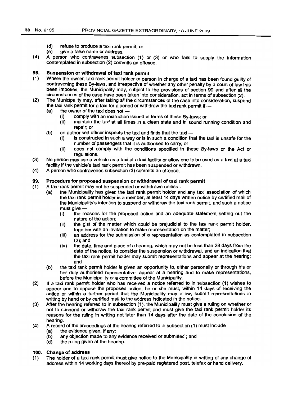- (d) refuse to produce a taxi rank permit; or
- (e) give a false name or address.
- (4) A person who contravenes subsection (1) or (3) or who fails to supply the information contemplated in subsection (2) commits an offence.

## 98. Suspension or withdrawal of taxi rank permit

- (1) Where the owner, taxi rank permit holder or person in charge of a taxi has been found guilty of contravening these By-laws, and irrespective of whether any other penalty by a court of law has been imposed, the Municipality may, subject to the provisions of section 99 and after all the circumstances of the case have been taken into consideration, act in terms of subsection (2).
- (2) The Municipality may, after taking all the circumstances of the case into consideration, suspend the taxi rank permit for a taxi for a period or withdraw the taxi rank permit if  $-$ 
	- (a) the owner of the taxi does not  $-$ 
		- (i) comply with an instruction issued in terms of these By-laws; or
		- (ii) maintain the taxi at all times in a clean state and in sound running condition and repair; or
	- $(b)$  an authorised officer inspects the taxi and finds that the taxi  $-$ 
		- (i) is constructed in such a way or is in such a condition that the taxi is unsafe for the number of passengers that it is authorised to carry; or
		- (ii) does not comply with the conditions specified in these By-laws or the Act or regulations.
- (3) No person may use a vehicle as a taxi at a taxi facility or allow one to be used as a taxi at a taxi facility if the vehicle's taxi rank permit has been suspended or withdrawn.
- (4) A person who contravenes subsection (3) commits an offence.

### 99. Procedure for proposed suspension or withdrawal of taxi rank permit

- (1) A taxi rank permit may not be suspended or withdrawn unless-
	- (a) the Municipality has given the taxi rank permit holder and any taxi association of which the taxi rank permit holder is a member, at least 14 days written notice by certified mail of the Municipality's intention to suspend or withdraw the taxi rank permit, and such a notice must give-
		- (i) .the reasons for the proposed action and an adequate statement setting out the nature of the action;
		- (ii) the gist of the matter which could be prejudicial to the taxi rank permit holder, together with an invitation to make representation on the matter;
		- (iii) an address for the submission of a representation as contemplated in subsection (2); and
		- (iv) the date, time and place of a hearing, which may not be less than 28 days from the date of the notice, to consider the suspension or withdrawal, and an indication that the taxi rank permit holder may submit representations and appear at the hearing; and
	- (b) the taxi rank permit holder is given an opportunity to, either personally or through his or her duly authorised representative, appear at a hearing and to make representations, before the Municipality or a committee of the Municipality.
- (2) If a taxi rank permit holder who has received a notice referred to in subsection (1) wishes to appear and to oppose the proposed action, he or she must, within 14 days of receiving the notice or within a further period that the Municipality may allow, submit representations in writing by hand or by certified mail to the address indicated in the notice.
- (3) After the hearing referred to in subsection (1), the Municipality must give a ruling on whether or not to suspend or withdraw the taxi rank permit and must give the taxi rank permit holder its reasons for the ruling in writing not later than 14 days after the date of the conclusion of the hearing.
- (4) A record of the proceedings at the hearing referred to in subsection (1) must include
	- (a) the evidence given. if any;
	- (b) any objection made to any evidence received or submitted; and
	- (d) the ruling given at the hearing.

### 100. Change of address

(1) The holder of a taxi rank permit must give notice to the Municipality in writing of any change of address within 14 working days thereof by pre-paid registered post. telefax or hand delivery.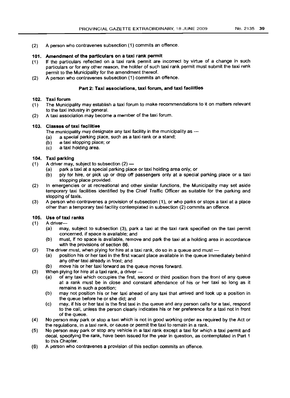(2) A person who contravenes subsection (1) commits an offence.

# 101. Amendment of the particulars on a taxi rank permit

- (1) If the particulars reflected on a taxi rank permit are incorrect by virtue of a change in such particulars or for any other reason, the holder of such taxi rank permit must submit the taxi rank permit to the Municipality for the amendment thereof.
- (2) A person who contravenes subsection (1) commits an offence.

# Part 2: Taxi associations, taxi forum, and taxi facilities

## 102. Taxi forum

- (1) The Municipality may establish a taxi forum to make recommendations to it on matters relevant to the taxi industry in general.
- (2) A taxi association may become a member of the taxi forum.

# 103. Classes of taxi facilities

- The municipality may designate any taxi facility in the municipality as  $-$
- (a) a special parking place, such as a taxi rank or a stand;
- (b) a taxi stopping place; or
- (c) a taxi holding area.

# 104. Taxi parking

- (1) A driver may, subject to subsection  $(2)$ 
	- (a) park a taxi at a special parking place or taxi holding area only; or
	- (b) ply for hire, or pick up or drop off passengers only at a special parking place or a taxi stopping place provided.
- (2) In emergencies or at recreational and other similar functions, the Municipality may set aside temporary taxi facilities identified by the Chief Traffic Officer as suitable for the parking and stopping of taxis.
- (3) A person who contravenes a provision of subsection (1), or who parks or stops a taxi at a place other than a temporary taxi facility contemplated in subsection (2) commits an offence.

# 105. Use of taxi ranks

- $(1)$  A driver-
	- (a) may, subject to subsection (3), park a taxi at the taxi rank specified on the taxi permit concerned, if space is available; and
	- (b) must, if no space is available, remove and park the taxi at a holding area in accordance with the provisions of section 86.
- (2) The driver must, when plying for hire at a taxi rank, do so in a queue and must  $-$ 
	- (a) position his or her taxi in the first vacant place available in the queue immediately behind any other taxi already in front; and
	- (b) move his or her taxi forward as the queue moves forward.
- $(3)$  When plying for hire at a taxi rank, a driver  $-$ 
	- (a) of any taxi which occupies the first, second or third position from the front of any queue at a rank must be in close and constant attendance of his or her taxi so long as it remains in such a position;
	- (b) may not position his or her taxi ahead of any taxi that arrived and took up a position in the queue before he or she did; and
	- (c) may, if his or her taxi is the first taxi in the queue and any person calls for a taxi, respond to the call, unless the person clearly indicates his or her preference for a taxi not in front of the queue.
- (4) No person may park or stop a taxi which is not in good working order as required by the Act or the regulations, in a taxi rank, or cause or permit the taxi to remain in a rank.
- (5) No person may park or stop any vehicle in a taxi rank except a taxi for which a taxi permit and decal, specifying the rank, have been issued for the year in question, as contemplated in Part 1 to this Chapter.
- (6) A person who contravenes a provision of this section commits an offence.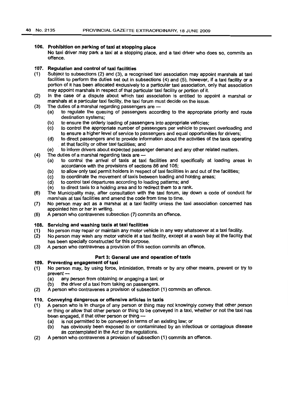(4)

### 106. Prohibition on parking of taxi at stopping place

No taxi driver may park a taxi at a stopping place, and a taxi driver who does so, commits an offence.

# 107. Regulation and control of taxi facilities

- (1) Subject to subsections (2) and (3), a recognised taxi association may appoint marshals at taxi facilities to perform the duties set out in subsections (4) and (5), however, if a taxi facility or a portion of it has been allocated exclusively to a particular taxi association, only that association may appoint marshals in respect of that particular taxi facility or portion of it.
- (2) In the case of a dispute about which taxi association is entitled to appoint a marshal or marshals at a particular taxi facility, the taxi forum must decide on the issue.
- (3) The duties of a marshal regarding passengers are -
	- (a) to regulate the queuing of passengers according to the appropriate priority and route destination systems;
	- (b) to ensure the orderly loading of passengers into appropriate vehicles;
	- (c) to control the appropriate number of passengers per vehicle to prevent overloading and to ensure a higher level of service to passengers and equal opportunities for drivers;
	- (d) to direct passengers and to provide information about the activities of the taxis operating at that facility or other taxi facilities; and
	- (e) to inform drivers about expected passenger demand and any other related matters.
	- The duties of a marshal regarding taxis are -
		- (a) to control the arrival of taxis at taxi facilities and specifically at loading areas in accordance with the provisions of sections 86 and 105;
		- (b) to allow only taxi permit holders in respect of taxi facilities in and out of the facilities;
		- (c) to coordinate the movement of taxis between loading and holding areas;
		- (d) to control taxi departures according to loading patterns; and
		- (e) to direct taxis to a holding area and to redirect them to a rank.
- (6) The Municipality may, after consultation with the taxi forum, lay down a code of conduct for marshals at taxi facilities and amend the code from time to time.
- (7) No person may act as a marshal at a taxi facility unless the taxi association concerned has appointed him or her in writing.
- (8) A person who contravenes subsection (7) commits an offence.

#### 108. Servicing and washing taxis at taxi facilities

- (1) No person may repair or maintain any motor vehicle in any way whatsoever at a taxi facility.
- (2) No person may wash any motor vehicle at a taxi facility, except at a wash bay at the facility that has been specially constructed for this purpose.
- (3) A person who contravenes a provision of this section commits an offence.

# Part 3: General use and operation of taxis

## 109. Preventing engagement of taxi

- (1) No person may, by using force, intimidation, threats or by any other means. prevent or try to prevent $-\frac{1}{2}$ 
	- any person from obtaining or engaging a taxi; or
	- (b) the driver of a taxi from taking on passengers.
- (2) A person who contravenes a provision of subsection (1) commits an offence.

# 110. Conveying dangerous or offensive articles in taxis

- (1) A person who is in charge of any person or thing may not knowingly convey that other person or thing or allow that other person or thing to be conveyed in a taxi, whether or not the taxi has been engaged, if that other person or thing --<br>(a) is not permitted to be conveyed in term
	- is not permitted to be conveyed in terms of an existing law; or
	- (b) has obviously been exposed to or contaminated by an infectious or contagious disease as contemplated in the Act or the regulations.
- (2) A person who contravenes a provision of subsection (1) commits an offence.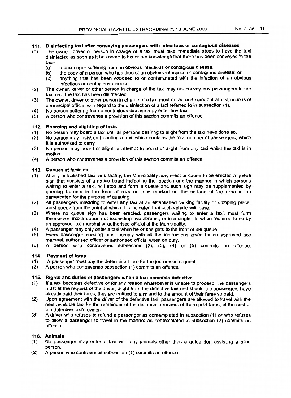## 111. Disinfecting taxi after conveying passengers with infectious or contagious diseases

- (1) The owner, driver or person in charge of a taxi must take immediate steps to have the taxi disinfected as soon as it has come to his or her knowledge that there has been conveyed in the taxi-
	- (a) a passenger suffering from an obvious infectious or contagious disease;
	- (b) the body of a person who has died of an obvious infectious or contagious disease; or
	- (c) anything that has been exposed to or contaminated with the infection of an obvious infectious or contagious disease.
- (2) The owner, driver or other person in charge of the taxi may not convey any passengers in the taxi until the taxi has been disinfected.
- (3) The owner, driver or other person in charge of a taxi must notify, and carry out all instructions of a municipal official with regard to the disinfection of a taxi referred to in subsection (1).
- (4) No person suffering from a contagious disease may enter any taxi.
- (5) A person who contravenes a provision of this section commits an offence.

### 112. Boarding and alighting of taxis

- (1) No person may board a taxi until all persons desiring to alight from the taxi have done so.
- (2) No person may insist on boarding a taxi, which contains the total number of passengers, which it is authorized to carry.
- (3) No person may board or alight or attempt to board or alight from any taxi whilst the taxi is in motion.
- (4) A person who contravenes a provision of this section commits an offence.

### 113. Queues at facilities

- (1) At any established taxi rank facility, the Municipality may erect or cause to be erected a queue sign that consists of a notice board indicating the location and the manner in which persons waiting to enter a taxi, will stop and form a queue and such sign may be supplemented by' queuing barriers in the form of rails or lines marked on the surface of the area to be demarcated for the purpose of queuing.
- (2) All passengers intending to enter any taxi at an established ranking facility or stopping place, must queue from the point at which it is indicated that such vehicle will leave.
- (3) Where no queue sign has been erected, passengers waiting to enter a taxi, must form themselves into a queue not exceeding two abreast, or in a single file when required to so by an approved taxi marshal or authorised official of the Municipality.
- (4) A passenger may only enter a taxi when he or she gets to the front of the queue.
- (5) Every passenger queuing must comply with all the instructions given by an approved taxi marshal, authorised officer or authorised official when on duty.
- (6) A person who contravenes subsection (2), (3), (4) or (5) commits an offence.

## 114. Payment of fares

- (1) A passenger must pay the determined fare for the journey on request.<br>(2) A person who contravenes subsection (1) commits an offence.
- (2) A person who contravenes subsection (1) commits an offence.

# 115. Rights and duties of passengers when a taxi becomes defective

- (1) If a taxi becomes defective or for any reason whatsoever is unable to proceed, the passengers must at the request of the driver, alight from the defective taxi and should the passengers have already paid their fares, they are entitled to a refund to the amount of their fares so paid.
- (2) Upon agreement with the driver of the defective taxi, passengers are allowed to travel with the next available taxi for the remainder of the distance in respect of there paid fares, at the cost of the defective taxi's owner.
- (3) A driver who refuses to refund a passenger as contemplated in subsection (1) or who refuses to allow a passenger to travel in the manner as contemplated in subsection (2) commits an offence.

### 116. Animals

- $(1)$  No passenger may enter a taxi with any animals other than a quide dog assisting a blind person.
- (2) A person who contravenes subsection (1) commits an offence.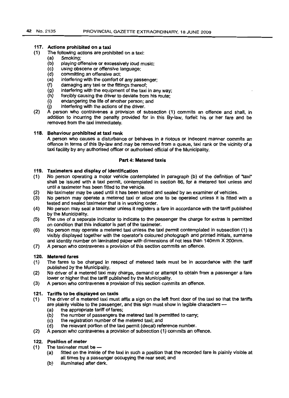# 117. Actions prohibited on a taxi

- (1) The following actions are prohibited on a taxi:
	- (a) Smoking;
	- (b) playing offensive or excessively loud music;
	- (c) using obscene or offensive language;
	- (d) committing an offensive act;
	- (a) interfering with the comfort of any passenger;
	- (f) damaging any taxi or the fittings thereof;
	- (g) interfering with the equipment of the taxi in any way;
	- (h) forcibly causing the driver to deviate from his route;
	- (i) endangering the life of another person; and
	- $(i)$  interfering with the actions of the driver.
- (2) A person who contravenes a provision of subsection (1) commits an offence and shall, in addition to incurring the penalty provided for in this By-law, forfeit his or her fare and be removed from the taxi immediately.

# 118. Behaviour prohibited at taxi rank

A person who causes a disturbance or behaves in a riotous or indecent manner commits an offence in terms of this By-law and may be removed from a queue, taxi rank or the vicinity of a taxi facility by any authorised officer or authorised official of the Municipality.

### Part 4: Metered taxis

# 119. Taximeters and display of identification

- (1) No person operating a motor vehicle contemplated in paragraph (b) of the definition of "taxi" shall be issued with a taxi permit, contemplated in section 86. for a metered taxi unless and until a taximeter has been fitted to the vehicle.
- (2) No taximeter may be used until it has been tested and sealed by an examiner of vehicles.
- (3) No person may operate a metered taxi or allow one to be operated unless it is fitted with a tested and sealed taximeter that is in working order.
- (4) No person may seal a taximeter unless it registers a fare in accordance with the tariff published by the Municipality.
- (5) The use of a separate indicator to indicate to the passenger the charge for extras is permitted on condition that this indicator is part of the taximeter.
- (6) No person may operate a metered taxi unless the taxi permit contemplated in subsection (1) is visibly displayed together with the operator's coloured photograph and printed initials, surname and identity number on laminated paper with dimensions of not less than 140mm X 200mm.
- (7) A person who contravenes a provision of this section commits an offence.

### 120. Metered fares

- (1) The fares to be charged in respect of metered taxis must be in accordance with the tariff published by the Municipality.
- (2) No driver of a metered taxi may charge, demand or attempt to obtain from a passenger a fare lower or higher that the tariff published by the Municipality.
- (3) A person who contravenes a provision of this section commits an offence.

## 121. Tariffs to be displayed on taxis

- (1) The driver of a metered taxi must affix a sign on the left front door of the taxi so that the tariffs are plainly visible to the passenger, and this sign must show in legible characters -
	-
	- (a) the appropriate tariff of fares;<br>(b) the number of passengers the the number of passengers the metered taxi is permitted to carry;
	- (c) the registration number of the metered taxi; and<br>(d) the relevant portion of the taxi permit (decal) refe
	- the relevant portion of the taxi permit (decal) reference number.
- (2) A person who contravenes a provision of subsection (1) commits an offence.

# 122. Position of meter

- (1) The taximeter must be  $-$ 
	- (a) fitted on the inside of the taxi in such a position that the recorded fare is plainly visible at all times by a passenger occupying the rear seat; and
	- (b) illuminated after dark.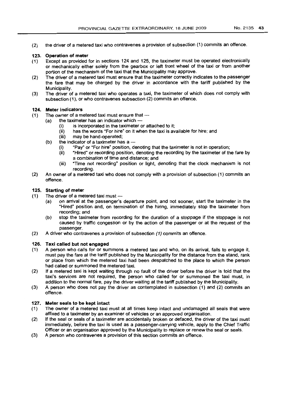(2) the driver of a metered taxi who contravenes a provision of subsection (1) commits an offence.

# 123. Operation of meter

- (1) Except as provided for in sections 124 and 125, the taximeter must be operated electronically or mechanically either solely from the gearbox or left front wheel of the taxi or from another portion of the mechanism of the taxi that the Municipality may approve.
- (2) The driver of a metered taxi must ensure that the taximeter correctly indicates to the passenger the fare that may be charged by the driver in accordance with the tariff published by the Municipality.
- (3) The driver of a metered taxi who operates a taxi, the taximeter of which does not comply with subsection (1), or who contravenes subsection (2) commits an offence.

# 124. Meter indicators

- $(1)$  The owner of a metered taxi must ensure that  $-$ 
	- $(a)$  the taximeter has an indicator which  $-$ 
		- (i) is incorporated in the taximeter or attached to it;
		- (ii) has the words "For hire" on it when the taxi is available for hire; and
		- (iii) may be hand-operated;
	- (b) the indicator of a taximeter has  $a -$ <br>(i) "Pay" or "For hire" position, do
		- "Pay" or "For hire" position, denoting that the taximeter is not in operation;
		- *(ii)* "Hired" or recording position, denoting the recording by the taximeter of the fare by a combination of time and distance; and
		- (iii) "Time not recording" position or light, denoting that the clock mechanism is not recording.
- (2) An owner of a metered taxi who does not comply with a provision of subsection (1) commits an offence.

# 125. Starting of meter

- $(1)$  The driver of a metered taxi must --
	- (a) on arrival at the passenger's departure point, and not sooner, start the taximeter in the "Hired" position and, on termination of the hiring, immediately stop the taximeter from recording; and
	- (b) stop the taximeter from recording for the duration of a stoppage if the stoppage is not caused by traffic congestion or by the action of the passenger or at the request of the passenger.
- (2) A driver who contravenes a provision of subsection (1) commits an offence.

## 126. Taxi called but not engaged

- (1) A person who calls for or summons a metered taxi and who, on its arrival, fails to engage it, must pay the fare at the tariff published by the Municipality for the distance from the stand, rank or place from which the metered taxi had been despatched to the place to which the person had called or summoned the metered taxi.
- (2) If a metered taxi is kept waiting through no fault of the driver before the driver is told that the taxi's services are not required, the person who called for or summoned the taxi must, in addition to the normal fare, pay the driver waiting at the tariff published by the Municipality.
- (3) A person who does not pay the driver as contemplated in subsection (1) and (2) commits an offence.

# 127. Meter seals to be kept intact

- (1) The owner of a metered taxi must at all times keep intact and undamaged all seals that were affixed to a taximeter by an examiner of vehicles or an approved organisation.
- (2) If the seal or seals of a taximeter are accidentally broken or defaced, the driver of the taxi must immediately, before the taxi is used as a passenger-carrying vehicle, apply to the Chief Traffic Officer or an organisation approved by the Municipality to replace or renew the seal or seals.
- (3) A person who contravenes a provision of this section commits an offence.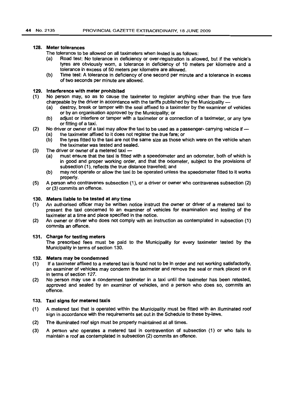### 128. Meter tolerances

The tolerance to be allowed on all taximeters when tested is as follows:

- (a) Road test: No tolerance in deficiency or over-registration is allowed, but if the vehicle's tyres are obviously worn, a tolerance in deficiency of 10 meters per kilometre and a tolerance in excess of 50 meters per kilometre are allowed.
- (b) Time test: A tolerance in deficiency of one second per minute and a tolerance in excess of two seconds per minute are allowed.

### 129. Interference with meter prohibited

- (1) No person may, so as to cause the taximeter to register anything other than the true fare chargeable by the driver in accordance with the tariffs published by the Municipality -
	- (a) destroy, break or tamper with the seal affixed to a taximeter by the examiner of vehicles or by an organisation approved by the Municipality; or
	- (b) adjust or interfere or tamper with a taximeter or a connection of a taximeter, or any tyre or fitting of a taxi.
- (2) No driver or owner of a taxi may allow the taxi to be used as a passenger- carrying vehicle if  $-$ 
	- (a) the taximeter affixed to it does not register the true fare; or
	- (b) the tyres fitted to the taxi are not the same size as those which were on the vehicle when the taximeter was tested and sealed.
- (3) The driver or owner of a metered taxi $-$ 
	- (a) must ensure that the taxi is fitted with a speedometer and an odometer, both of which is in good and proper working order, and that the odometer, subject to the provisions of subsection (1), reflects the true distance travelled; and
	- (b) may not operate or allow the taxi to be operated unless the speedometer fitted to it works properly.
- (5) A person who contravenes subsection (1), or a driver or owner who contravenes subsection (2) or (3) commits an offence.

### 130. Meters liable to be tested at any time

- (1) An authorised officer may be written notice instruct the owner or driver of a metered taxi to present the taxi concerned to an examiner of vehicles for examination and testing of the taximeter at a time and place specified in the notice.
- (2) An owner or driver who does not comply with an instruction as contemplated in subsection (1) commits an offence.

## 131. Charge for testing meters

The prescribed fees must be paid to the Municipality for every taximeter tested by the Municipality in terms of section 130.

### 132. Meters may be condemned

- (1) If a taximeter affixed to a metered taxi is found not to be in order and not working satisfactorily, an examiner of vehicles may condemn the taximeter and remove the seal or mark placed on it in terms of section 127.
- (2) No person may use a condemned taximeter in a taxi until the taximeter has been retested, approved and sealed by an examiner of vehicles, and a person who does so, commits an offence.

### 133. Taxi signs for metered taxis

- (1) A metered taxi that is operated within the Municipality must be fitted with an illuminated roof sign in accordance with the requirements set out in the Schedule to these by-laws.
- (2) The illuminated roof sign must be properly maintained at all times.
- (3) A person who operates a metered taxi in contravention of subsection (1) or who fails to maintain a roof as contemplated in subsection (2) commits an offence.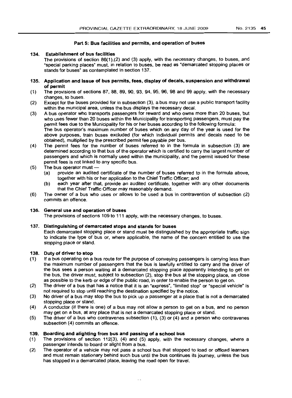### Part 5: Bus facilities and permits, and operation of buses

### 134. Establishment of bus facilities

The provisions of section 86(1),(2) and (3) apply, with the necessary changes, to buses, and "special parking places" must, in relation to buses, be read as "demarcated stopping places or stands for buses" as contemplated in section 137.

- 135. Application and Issue of bus permits. fees, display of decals. suspension and withdrawal of permit
- (1) The provisions of sections 87,88,89,90,93,94,95,96,98 and 99 apply, with the necessary changes, to buses.
- (2) Except for the buses provided for in subsection (3), a bus may not use a public transport facility within the municipal area, unless the bus displays the necessary decal.
- (3) A bus operator who transports passengers for reward and who owns more than 20 buses, but who uses fewer than 20 buses within the Municipality for transporting passengers, must pay the permit fees due to the Municipality for his or her buses according to the following formula: The bus operator's maximum number of buses which on any day of the year is used for the above purposes, train buses excluded (for which individual permits and decals need to be obtained), multiplied by the prescribed permit fee payable per bus.
- (4) The permit fees for the number of buses referred to in the formula in subsection (3) are determined according to that bus of the operator which is certified to carry the largest number of passengers and which is normally used within the municipality, and the permit issued for these permit fees is not linked to any specific bus.
- (5) The bus operator must  $-$ <br>(a) provide an audited
	- provide an audited certificate of the number of buses referred to in the formula above. together with his or her application to the Chief Traffic Officer; and
	- (b) each year after that, provide an audited certificate, together with any other documents that the Chief Traffic Officer may reasonably demand.
- (6) The owner of a bus who uses or allows to be used a bus in contravention of subsection (2) commits an offence.

### 136. General use and operation of buses

The provisions of sections 109 to 111 apply, with the necessary changes, to buses.

### 137. Distinguishing of demarcated stops and stands for buses

Each demarcated stopping place or stand must be distinguished by the appropriate traffic sign to indicate the type of bus or, where applicable, the name of the concern entitled to use the stopping place or stand.

### 138. Duty of driver to stop

- (1) If a bus operating on a bus route for the purpose of conveying passengers is carrying less than the maximum number of passengers that the bus is lawfully entitled to carry and the driver of the bus sees a person waiting at a demarcated stopping place apparently intending to get on the bus, the driver must, subject to subsection (2), stop the bus at the stopping place, as close as possible to the kerb or edge of the public road, in order to enable the person to get on.
- (2) The driver of a bus that has a notice that it is an "express", "limited stop" or "special vehicle" is not required to stop until reaching the destination specified by the notice.
- (3) No driver of a bus may stop the bus to pick up a passenger at a place that is not a demarcated stopping place or stand.
- (4) A conductor (if there is one) of a bus may not allow a person to get on a bus. and no person may get on a bus, at any place that is not a demarcated stopping place or stand.
- (5) The driver of a bus who contravenes subsection (1), (3) or (4) and a person who contravenes subsection (4) commits an offence.

# 139. Boarding and alighting from bus and passing of a school bus

- (1) The provisions of section 112(3), (4) and (5) apply, with the necessary changes, where a passenger intends to board or alight from a bus.
- (2) The operator of a vehicle may not pass a school bus that stopped to load or offload learners and must remain stationary behind such bus until the bus continues its journey, unless the bus has stopped in a demarcated place, leaving the road open for travel.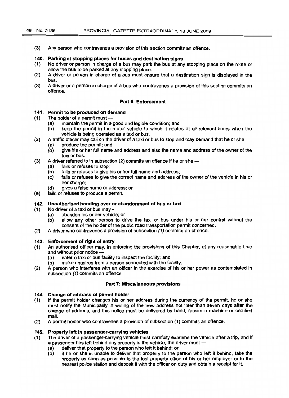(3) Any person who contravenes a provision of this section commits an offence.

### 140. Parking at stopping places for buses and destination signs

- (1) No driver or person in charge of a bus may park the bus at any stopping place on the route or allow the bus to be parked at any stopping place.
- (2) A driver or person in charge of a bus must ensure that a destination sign is displayed in the bus.
- (3) A driver or a person in charge of a bus who contravenes a provision of this section commits an offence.

# Part 6: Enforcement

### 141. Permit to be produced on demand

- $(1)$  The holder of a permit must --
	- (a) maintain the permit in a good and legible condition; and
	- (b) keep the permit in the motor vehicle to which it relates at all relevant times when the vehicle is being operated as a taxi or bus.
- (2) A traffic officer may call on the driver of a taxi or bus to stop and may demand that he or she
	- (a) produce the permit; and
		- (b) give his or her full name and address and also the name and address of the owner of the taxi or bus.
- (3) A driver referred to in subsection (2) commits an offence if he or she --
	- (a) fails or refuses to stop;
	- (b) fails or refuses to give his or her full name and address;
	- (c) fails or refuses to give the correct name and address of the owner of the vehicle in his or her charge:
	- (d) gives a false name or address; or
- (e) fails or refuses to produce a permit.

### 142. Unauthorised handing over or abandonment of bus or taxi

- (1) No driver of a taxi or bus may-
	- (a) abandon his or her vehicle; or
	- (b) allow any other person to drive the taxi or bus under his or her control without the consent of the holder of the public road transportation permit concerned.
- (2) A driver who contravenes a provision of subsection (1) commits an offence.

### 143. Enforcement of right of entry

- (1) An authorised officer may, in enforcing the provisions of this Chapter, at any reasonable time and without prior notice -
	- (a) enter a taxi or bus facility to inspect the facility; and
	- (b) make enquires from a person connected with the facility.
- (2) A person who interferes with an officer in the exercise of his or her power as contemplated in subsection (1) commits an offence.

### Part 7: Miscellaneous provisions

### .144. Change of address of permit holder

- (1) If the permit holder changes his or her address during the currency of the permit, he or she must notify the Municipality in writing of the new address not later than seven days after the change of address, and this notice must be delivered by hand, facsimile machine or certified mail.
- (2) A permit holder who contravenes a provision of subsection (1) commits an offence.

### 145. Property left in passenger-earrying vehicles

- (1) The driver of a passenger-carrying vehicle must carefully examine the vehicle after a trip, and if a passenger has left behind any property in the vehicle, the driver must -
	- (a) deliver that property to the person who left it behind; or
	- (b) jf he or she is unable to deliver that property to the person who left it behind, take the property as soon as possible to the lost property office of his or her employer or to the nearest police station and deposit it with the officer on duty and obtain a receipt for it.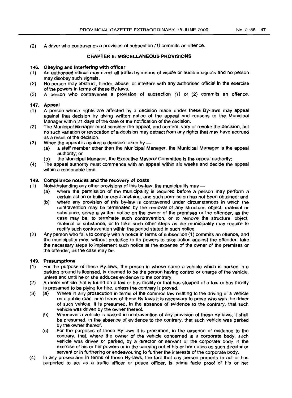(2) A driver who contravenes a provision of subsection (1) commits an offence.

## CHAPTER 6: MISCELLANEOUS PROVISIONS

### 146. Obeying and interfering with officer

- (1) An authorised official may direct all traffic by means of visible or audible signals and no person may disobey such signals.
- (2) No person may obstruct, hinder, abuse, or interfere with any authorised official in the exercise of the powers in terms of these By-laws.
- (3) A person who contravenes a provision of subsection (1) or (2) commits an offence.

# 147. Appeal

- (1) A person whose rights are affected by a decision made under these By-laws may appeal against that decision by giving written notice of the appeal and reasons to the Municipal Manager within 21 days of the date of the notification of the decision.
- (2) The Municipal Manager must consider the appeal, and confirm, vary or revoke the decision, but no such variation or revocation of a decision may detract from any rights that may have accrued as a result of the decision.
- (3) When the appeal is against a decision taken by  $-$ 
	- (a) a staff member other than the Municipal Manager, the Municipal Manager is the appeal authority; or
	- (b) the Municipal Manager, the Executive Mayoral Committee is the appeal authority;
- (4) The appeal authority must commence with an appeal within six weeks and decide the appeal within a reasonable time.

### 148. Compliance notices and the recovery of costs

- $(1)$  Notwithstanding any other provisions of this by-law, the municipality may  $-$ 
	- (a) where the permission of the municipality is required before a person may perform a certain action or build or erect anything, and such permission has not been obtained; and
	- (b) where any provision of this by-law is contravened under circumstances in which the contravention may be terminated by the removal of any structure, object, material or substance, serve a written notice on the owner of the premises or the offender, as the case may be, to terminate such contravention, or to remove the structure, object, material or substance, or to take such other steps as the municipality may require to rectify such contravention within the period stated in such notice.
- (2) Any person who fails to comply with a notice in terms of subsection (1) commits an offence, and the municipality may, without prejudice to its powers to take action against the offender, take the necessary steps to implement such notice at the expense of the owner of the premises or the offender, as the case may be.

### 149. Presumptions

- (1) For the purpose of these By-laws, the person in whose name a vehicle which is parked in a parking ground is licensed, is deemed to be the person having control or charge of the vehicle, unless and until he or she adduces evidence to the contrary.
- (2) A motor vehicle that is found on a taxi or bus facility or that has stopped at a taxi or bus facility is presumed to be plying for hire, unless the contrary is proved.
- (3) (a) Where in any prosecution in terms of the common law relating to the driving of a vehicle on a public road, or in terms of these By-laws it is necessary to prove who was the driver of such vehicle, it is presumed, in the absence of evidence to the contrary, that such vehicle was driven by the owner thereof.
	- (b) Whenever a vehicle is parked in contravention of any provision of these By-laws, it shall be presumed, in the absence of evidence to the contrary, that such vehicle was parked by the owner thereof.
	- (c) For the purposes of these By-laws it is presumed, in the absence of evidence to the contrary, that, where the owner of the vehicle concerned is a corporate body, such vehicle was driven or parked, by a director or servant of the corporate body in the exercise of his or her powers or in the carrying out of his or her duties as such director or servant or in furthering or endeavouring to further the interests of the corporate body.
- (4) In any prosecution in terms of these By-laws, the fact that any person purports to act or has purported to act as a traffic officer or peace officer, is prima facie proof of his or her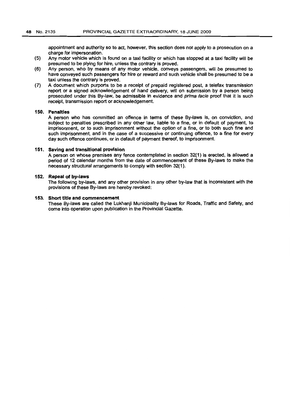appointment and authority so to act, however, this section does not apply to a prosecution on a charge for impersonation.

- (5) Any motor vehicle which is found on a taxi facility or which has stopped at a taxi facility will be presumed to be plying for hire, unless the contrary is proved.
- (6) Any person, who by means of any motor vehicle, conveys passengers, will be presumed to have conveyed such passengers for hire or reward and such vehicle shall be presumed to be a taxi unless the contrary is proved.
- (7) A document which purports to be a receipt of prepaid registered post, a telefax transmission report or a signed acknowledgement of hand delivery, will on submission by a person being prosecuted under this By-law, be admissible in evidence and prima facie proof that it is such receipt, transmission report or acknowledgement.

### 150. Penalties

A person who has committed an offence in terms of these By-laws is, on conviction, and subject to penalties prescribed in any other law, liable to a fine, or in default of payment, to imprisonment, or to such imprisonment without the option of a fine, or to both such fine and such imprisonment, and in the case of a successive or continuing offence, to a fine for every day such offence continues, or in default of payment thereof, to imprisonment.

### 151. Saving and transitional provision

A person on whose premises any fence contemplated in section 32(1) is erected, is allowed a period of 12 calendar months from the date of commencement of these By-laws to make the necessary structural arrangements to comply with section 32(1).

### 152. Repeal of by.laws

The following by-laws, and any other provision in any other by-law that is inconsistent with the provisions of these By-laws are hereby revoked:

### 153. Short title and commencement

These By-laws are called the Lukhanji Municipality By-laws for Roads, Traffic and Safety, and come into operation upon publication in the Provincial Gazette.